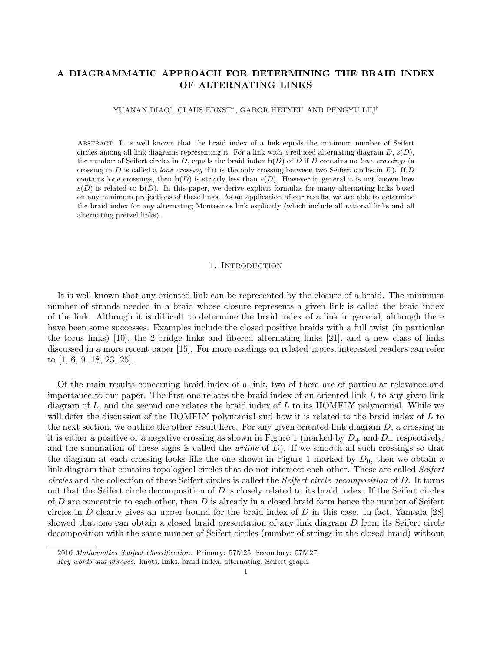# A DIAGRAMMATIC APPROACH FOR DETERMINING THE BRAID INDEX OF ALTERNATING LINKS

YUANAN DIAO† , CLAUS ERNST<sup>∗</sup> , GABOR HETYEI† AND PENGYU LIU†

Abstract. It is well known that the braid index of a link equals the minimum number of Seifert circles among all link diagrams representing it. For a link with a reduced alternating diagram  $D, s(D)$ , the number of Seifert circles in D, equals the braid index  $\mathbf{b}(D)$  of D if D contains no lone crossings (a crossing in  $D$  is called a *lone crossing* if it is the only crossing between two Seifert circles in  $D$ ). If  $D$ contains lone crossings, then  $\mathbf{b}(D)$  is strictly less than  $s(D)$ . However in general it is not known how  $s(D)$  is related to  $b(D)$ . In this paper, we derive explicit formulas for many alternating links based on any minimum projections of these links. As an application of our results, we are able to determine the braid index for any alternating Montesinos link explicitly (which include all rational links and all alternating pretzel links).

#### 1. INTRODUCTION

It is well known that any oriented link can be represented by the closure of a braid. The minimum number of strands needed in a braid whose closure represents a given link is called the braid index of the link. Although it is difficult to determine the braid index of a link in general, although there have been some successes. Examples include the closed positive braids with a full twist (in particular the torus links) [10], the 2-bridge links and fibered alternating links [21], and a new class of links discussed in a more recent paper [15]. For more readings on related topics, interested readers can refer to [1, 6, 9, 18, 23, 25].

Of the main results concerning braid index of a link, two of them are of particular relevance and importance to our paper. The first one relates the braid index of an oriented link  $L$  to any given link diagram of  $L$ , and the second one relates the braid index of  $L$  to its HOMFLY polynomial. While we will defer the discussion of the HOMFLY polynomial and how it is related to the braid index of L to the next section, we outline the other result here. For any given oriented link diagram  $D$ , a crossing in it is either a positive or a negative crossing as shown in Figure 1 (marked by  $D_+$  and  $D_-$  respectively, and the summation of these signs is called the *writhe* of  $D$ ). If we smooth all such crossings so that the diagram at each crossing looks like the one shown in Figure 1 marked by  $D_0$ , then we obtain a link diagram that contains topological circles that do not intersect each other. These are called Seifert circles and the collection of these Seifert circles is called the Seifert circle decomposition of D. It turns out that the Seifert circle decomposition of D is closely related to its braid index. If the Seifert circles of  $D$  are concentric to each other, then  $D$  is already in a closed braid form hence the number of Seifert circles in D clearly gives an upper bound for the braid index of D in this case. In fact, Yamada [28] showed that one can obtain a closed braid presentation of any link diagram D from its Seifert circle decomposition with the same number of Seifert circles (number of strings in the closed braid) without

<sup>2010</sup> Mathematics Subject Classification. Primary: 57M25; Secondary: 57M27.

Key words and phrases. knots, links, braid index, alternating, Seifert graph.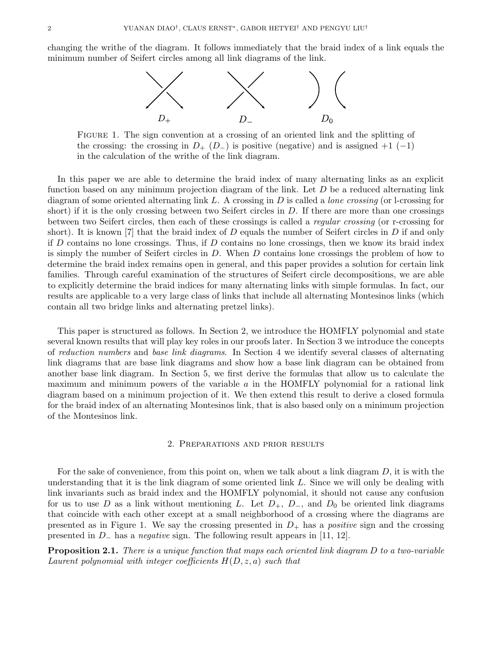changing the writhe of the diagram. It follows immediately that the braid index of a link equals the minimum number of Seifert circles among all link diagrams of the link.



Figure 1. The sign convention at a crossing of an oriented link and the splitting of the crossing: the crossing in  $D_+$  ( $D_-$ ) is positive (negative) and is assigned  $+1$  (-1) in the calculation of the writhe of the link diagram.

In this paper we are able to determine the braid index of many alternating links as an explicit function based on any minimum projection diagram of the link. Let  $D$  be a reduced alternating link diagram of some oriented alternating link L. A crossing in D is called a *lone crossing* (or l-crossing for short) if it is the only crossing between two Seifert circles in  $D$ . If there are more than one crossings between two Seifert circles, then each of these crossings is called a regular crossing (or r-crossing for short). It is known [7] that the braid index of  $D$  equals the number of Seifert circles in  $D$  if and only if  $D$  contains no lone crossings. Thus, if  $D$  contains no lone crossings, then we know its braid index is simply the number of Seifert circles in D. When D contains lone crossings the problem of how to determine the braid index remains open in general, and this paper provides a solution for certain link families. Through careful examination of the structures of Seifert circle decompositions, we are able to explicitly determine the braid indices for many alternating links with simple formulas. In fact, our results are applicable to a very large class of links that include all alternating Montesinos links (which contain all two bridge links and alternating pretzel links).

This paper is structured as follows. In Section 2, we introduce the HOMFLY polynomial and state several known results that will play key roles in our proofs later. In Section 3 we introduce the concepts of reduction numbers and base link diagrams. In Section 4 we identify several classes of alternating link diagrams that are base link diagrams and show how a base link diagram can be obtained from another base link diagram. In Section 5, we first derive the formulas that allow us to calculate the maximum and minimum powers of the variable  $a$  in the HOMFLY polynomial for a rational link diagram based on a minimum projection of it. We then extend this result to derive a closed formula for the braid index of an alternating Montesinos link, that is also based only on a minimum projection of the Montesinos link.

#### 2. Preparations and prior results

For the sake of convenience, from this point on, when we talk about a link diagram  $D$ , it is with the understanding that it is the link diagram of some oriented link L. Since we will only be dealing with link invariants such as braid index and the HOMFLY polynomial, it should not cause any confusion for us to use D as a link without mentioning L. Let  $D_+$ ,  $D_-$ , and  $D_0$  be oriented link diagrams that coincide with each other except at a small neighborhood of a crossing where the diagrams are presented as in Figure 1. We say the crossing presented in  $D_{+}$  has a *positive* sign and the crossing presented in D<sup>−</sup> has a negative sign. The following result appears in [11, 12].

**Proposition 2.1.** There is a unique function that maps each oriented link diagram D to a two-variable Laurent polynomial with integer coefficients  $H(D, z, a)$  such that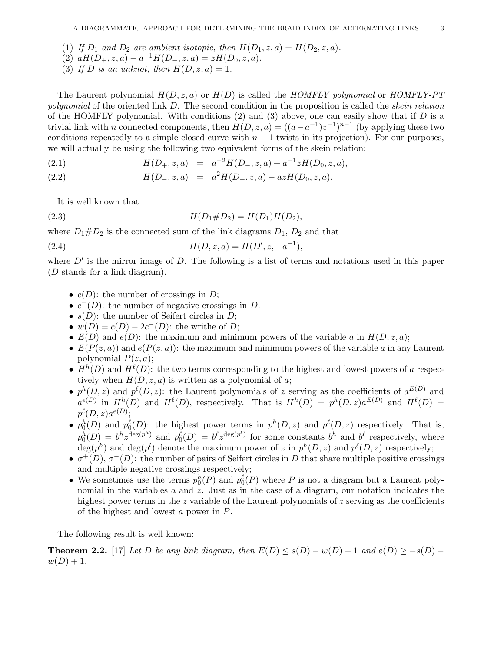- (1) If  $D_1$  and  $D_2$  are ambient isotopic, then  $H(D_1, z, a) = H(D_2, z, a)$ .
- (2)  $aH(D_+, z, a) a^{-1}H(D_-, z, a) = zH(D_0, z, a).$
- (3) If D is an unknot, then  $H(D, z, a) = 1$ .

The Laurent polynomial  $H(D, z, a)$  or  $H(D)$  is called the HOMFLY polynomial or HOMFLY-PT polynomial of the oriented link D. The second condition in the proposition is called the *skein relation* of the HOMFLY polynomial. With conditions  $(2)$  and  $(3)$  above, one can easily show that if D is a trivial link with n connected components, then  $H(D, z, a) = ((a - a^{-1})z^{-1})^{n-1}$  (by applying these two conditions repeatedly to a simple closed curve with  $n - 1$  twists in its projection). For our purposes, we will actually be using the following two equivalent forms of the skein relation:

(2.1) 
$$
H(D_+, z, a) = a^{-2}H(D_-, z, a) + a^{-1}zH(D_0, z, a),
$$

(2.2)  $H(D_-, z, a) = a^2 H(D_+, z, a) - a z H(D_0, z, a).$ 

It is well known that

(2.3) 
$$
H(D_1 \# D_2) = H(D_1)H(D_2),
$$

where  $D_1 \# D_2$  is the connected sum of the link diagrams  $D_1, D_2$  and that

(2.4) 
$$
H(D, z, a) = H(D', z, -a^{-1}),
$$

where  $D'$  is the mirror image of  $D$ . The following is a list of terms and notations used in this paper (D stands for a link diagram).

- $c(D)$ : the number of crossings in D;
- $c^-(D)$ : the number of negative crossings in D.
- $s(D)$ : the number of Seifert circles in D;
- $w(D) = c(D) 2c^{-}(D)$ : the writhe of D;
- $E(D)$  and  $e(D)$ : the maximum and minimum powers of the variable a in  $H(D, z, a)$ ;
- $E(P(z, a))$  and  $e(P(z, a))$ : the maximum and minimum powers of the variable a in any Laurent polynomial  $P(z, a)$ ;
- $H^h(D)$  and  $H^{\ell}(D)$ : the two terms corresponding to the highest and lowest powers of a respectively when  $H(D, z, a)$  is written as a polynomial of a;
- $p^{h}(D, z)$  and  $p^{\ell}(D, z)$ : the Laurent polynomials of z serving as the coefficients of  $a^{E(D)}$  and  $a^{e(D)}$  in  $H^h(D)$  and  $H^{\ell}(D)$ , respectively. That is  $H^h(D) = p^h(D, z)a^{E(D)}$  and  $H^{\ell}(D) =$  $p^{\ell}(D,z)a^{e(D)};$
- $p_0^h(D)$  and  $p_0^{\ell}(D)$ : the highest power terms in  $p^h(D, z)$  and  $p^{\ell}(D, z)$  respectively. That is,  $p_0^h(D) = b^h z^{\deg(p^h)}$  and  $p_0^{\ell}(D) = b^{\ell} z^{\deg(p^{\ell})}$  for some constants  $b^h$  and  $b^{\ell}$  respectively, where  $\deg(p^h)$  and  $\deg(p^l)$  denote the maximum power of z in  $p^h(D, z)$  and  $p^\ell(D, z)$  respectively;
- $\sigma^+(D)$ ,  $\sigma^-(D)$ : the number of pairs of Seifert circles in D that share multiple positive crossings and multiple negative crossings respectively;
- We sometimes use the terms  $p_0^h(P)$  and  $p_0^{\ell}(P)$  where P is not a diagram but a Laurent polynomial in the variables  $a$  and  $z$ . Just as in the case of a diagram, our notation indicates the highest power terms in the z variable of the Laurent polynomials of z serving as the coefficients of the highest and lowest a power in P.

The following result is well known:

**Theorem 2.2.** [17] Let D be any link diagram, then  $E(D) \leq s(D) - w(D) - 1$  and  $e(D) \geq -s(D) - 1$  $w(D) + 1.$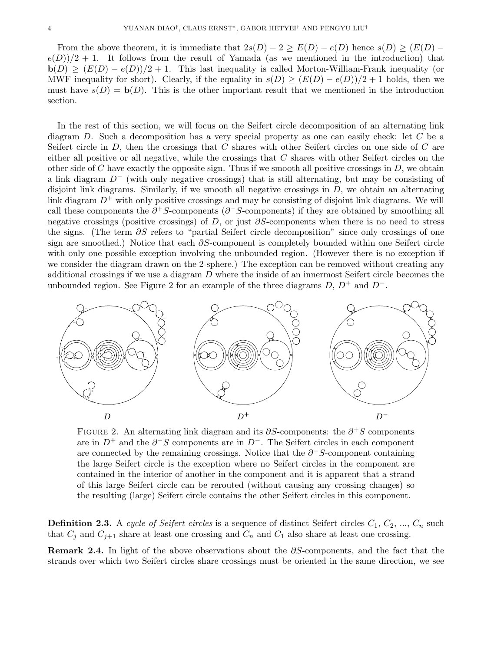From the above theorem, it is immediate that  $2s(D) - 2 \ge E(D) - e(D)$  hence  $s(D) \ge (E(D) - 2)$  $e(D)/2 + 1$ . It follows from the result of Yamada (as we mentioned in the introduction) that  $\mathbf{b}(D) \geq (E(D) - e(D))/2 + 1$ . This last inequality is called Morton-William-Frank inequality (or MWF inequality for short). Clearly, if the equality in  $s(D) \geq (E(D) - e(D))/2 + 1$  holds, then we must have  $s(D) = b(D)$ . This is the other important result that we mentioned in the introduction section.

In the rest of this section, we will focus on the Seifert circle decomposition of an alternating link diagram D. Such a decomposition has a very special property as one can easily check: let  $C$  be a Seifert circle in  $D$ , then the crossings that  $C$  shares with other Seifert circles on one side of  $C$  are either all positive or all negative, while the crossings that  $C$  shares with other Seifert circles on the other side of C have exactly the opposite sign. Thus if we smooth all positive crossings in  $D$ , we obtain a link diagram D<sup>−</sup> (with only negative crossings) that is still alternating, but may be consisting of disjoint link diagrams. Similarly, if we smooth all negative crossings in  $D$ , we obtain an alternating link diagram  $D^+$  with only positive crossings and may be consisting of disjoint link diagrams. We will call these components the  $\partial^+S$ -components ( $\partial^-S$ -components) if they are obtained by smoothing all negative crossings (positive crossings) of D, or just  $\partial S$ -components when there is no need to stress the signs. (The term ∂S refers to "partial Seifert circle decomposition" since only crossings of one sign are smoothed.) Notice that each  $\partial S$ -component is completely bounded within one Seifert circle with only one possible exception involving the unbounded region. (However there is no exception if we consider the diagram drawn on the 2-sphere.) The exception can be removed without creating any additional crossings if we use a diagram  $D$  where the inside of an innermost Seifert circle becomes the unbounded region. See Figure 2 for an example of the three diagrams  $D, D^+$  and  $D^-$ .



FIGURE 2. An alternating link diagram and its  $\partial S$ -components: the  $\partial^+ S$  components are in  $D^+$  and the  $\partial^- S$  components are in  $D^-$ . The Seifert circles in each component are connected by the remaining crossings. Notice that the  $\partial$ <sup>-</sup>S-component containing the large Seifert circle is the exception where no Seifert circles in the component are contained in the interior of another in the component and it is apparent that a strand of this large Seifert circle can be rerouted (without causing any crossing changes) so the resulting (large) Seifert circle contains the other Seifert circles in this component.

**Definition 2.3.** A cycle of Seifert circles is a sequence of distinct Seifert circles  $C_1, C_2, ..., C_n$  such that  $C_j$  and  $C_{j+1}$  share at least one crossing and  $C_n$  and  $C_1$  also share at least one crossing.

Remark 2.4. In light of the above observations about the  $\partial S$ -components, and the fact that the strands over which two Seifert circles share crossings must be oriented in the same direction, we see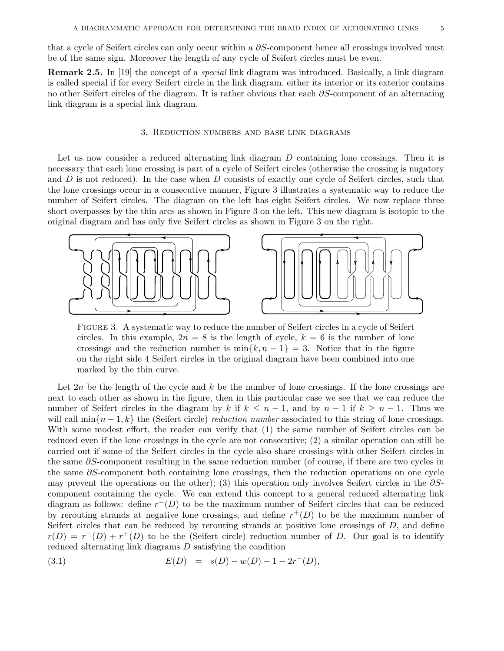that a cycle of Seifert circles can only occur within a  $\partial S$ -component hence all crossings involved must be of the same sign. Moreover the length of any cycle of Seifert circles must be even.

Remark 2.5. In [19] the concept of a special link diagram was introduced. Basically, a link diagram is called special if for every Seifert circle in the link diagram, either its interior or its exterior contains no other Seifert circles of the diagram. It is rather obvious that each ∂S-component of an alternating link diagram is a special link diagram.

## 3. Reduction numbers and base link diagrams

Let us now consider a reduced alternating link diagram D containing lone crossings. Then it is necessary that each lone crossing is part of a cycle of Seifert circles (otherwise the crossing is nugatory and  $D$  is not reduced). In the case when  $D$  consists of exactly one cycle of Seifert circles, such that the lone crossings occur in a consecutive manner, Figure 3 illustrates a systematic way to reduce the number of Seifert circles. The diagram on the left has eight Seifert circles. We now replace three short overpasses by the thin arcs as shown in Figure 3 on the left. This new diagram is isotopic to the original diagram and has only five Seifert circles as shown in Figure 3 on the right.



Figure 3. A systematic way to reduce the number of Seifert circles in a cycle of Seifert circles. In this example,  $2n = 8$  is the length of cycle,  $k = 6$  is the number of lone crossings and the reduction number is  $\min\{k, n-1\} = 3$ . Notice that in the figure on the right side 4 Seifert circles in the original diagram have been combined into one marked by the thin curve.

Let  $2n$  be the length of the cycle and k be the number of lone crossings. If the lone crossings are next to each other as shown in the figure, then in this particular case we see that we can reduce the number of Seifert circles in the diagram by k if  $k \leq n-1$ , and by  $n-1$  if  $k \geq n-1$ . Thus we will call  $\min\{n-1,k\}$  the (Seifert circle) reduction number associated to this string of lone crossings. With some modest effort, the reader can verify that (1) the same number of Seifert circles can be reduced even if the lone crossings in the cycle are not consecutive; (2) a similar operation can still be carried out if some of the Seifert circles in the cycle also share crossings with other Seifert circles in the same ∂S-component resulting in the same reduction number (of course, if there are two cycles in the same ∂S-component both containing lone crossings, then the reduction operations on one cycle may prevent the operations on the other); (3) this operation only involves Seifert circles in the  $\partial S$ component containing the cycle. We can extend this concept to a general reduced alternating link diagram as follows: define  $r^{-}(D)$  to be the maximum number of Seifert circles that can be reduced by rerouting strands at negative lone crossings, and define  $r^+(D)$  to be the maximum number of Seifert circles that can be reduced by rerouting strands at positive lone crossings of D, and define  $r(D) = r^{-1}(D) + r^{+1}(D)$  to be the (Seifert circle) reduction number of D. Our goal is to identify reduced alternating link diagrams D satisfying the condition

(3.1) 
$$
E(D) = s(D) - w(D) - 1 - 2r^{-}(D),
$$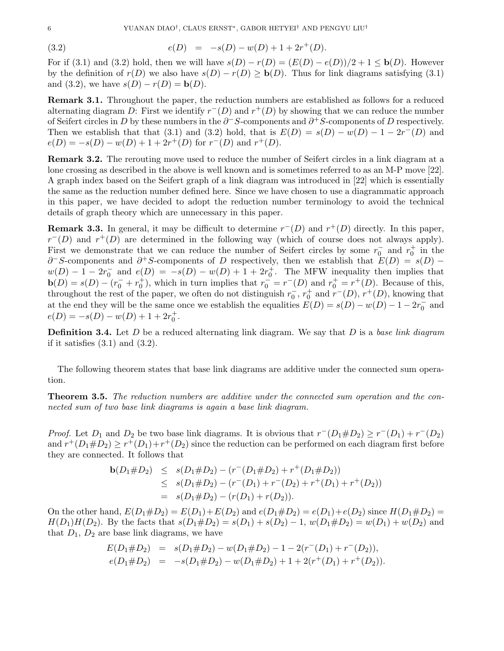(3.2) 
$$
e(D) = -s(D) - w(D) + 1 + 2r^+(D).
$$

For if (3.1) and (3.2) hold, then we will have  $s(D) - r(D) = (E(D) - e(D))/2 + 1 \leq b(D)$ . However by the definition of  $r(D)$  we also have  $s(D) - r(D) \geq b(D)$ . Thus for link diagrams satisfying (3.1) and (3.2), we have  $s(D) - r(D) = b(D)$ .

Remark 3.1. Throughout the paper, the reduction numbers are established as follows for a reduced alternating diagram D: First we identify  $r^-(D)$  and  $r^+(D)$  by showing that we can reduce the number of Seifert circles in D by these numbers in the  $\partial^- S$ -components and  $\partial^+ S$ -components of D respectively. Then we establish that that (3.1) and (3.2) hold, that is  $E(D) = s(D) - w(D) - 1 - 2r^{-}(D)$  and  $e(D) = -s(D) - w(D) + 1 + 2r^{+}(D)$  for  $r^{-}(D)$  and  $r^{+}(D)$ .

Remark 3.2. The rerouting move used to reduce the number of Seifert circles in a link diagram at a lone crossing as described in the above is well known and is sometimes referred to as an M-P move [22]. A graph index based on the Seifert graph of a link diagram was introduced in [22] which is essentially the same as the reduction number defined here. Since we have chosen to use a diagrammatic approach in this paper, we have decided to adopt the reduction number terminology to avoid the technical details of graph theory which are unnecessary in this paper.

**Remark 3.3.** In general, it may be difficult to determine  $r^-(D)$  and  $r^+(D)$  directly. In this paper,  $r^-(D)$  and  $r^+(D)$  are determined in the following way (which of course does not always apply). First we demonstrate that we can reduce the number of Seifert circles by some  $r_0^-$  and  $r_0^+$  in the  $\partial$ <sup>-</sup>S-components and  $\partial$ <sup>+</sup>S-components of D respectively, then we establish that  $E(D) = s(D)$   $w(D) - 1 - 2r_0^-$  and  $e(D) = -s(D) - w(D) + 1 + 2r_0^+$ . The MFW inequality then implies that  $\mathbf{b}(D) = s(D) - (r_0^- + r_0^+)$ , which in turn implies that  $r_0^- = r^-(D)$  and  $r_0^+ = r^+(D)$ . Because of this, throughout the rest of the paper, we often do not distinguish  $r_0^-, r_0^+$  and  $r^-(D)$ ,  $r^+(D)$ , knowing that at the end they will be the same once we establish the equalities  $E(D) = s(D) - w(D) - 1 - 2r_0^{-}$  and  $e(D) = -s(D) - w(D) + 1 + 2r_0^+$ .

**Definition 3.4.** Let D be a reduced alternating link diagram. We say that D is a base link diagram if it satisfies  $(3.1)$  and  $(3.2)$ .

The following theorem states that base link diagrams are additive under the connected sum operation.

**Theorem 3.5.** The reduction numbers are additive under the connected sum operation and the connected sum of two base link diagrams is again a base link diagram.

*Proof.* Let  $D_1$  and  $D_2$  be two base link diagrams. It is obvious that  $r^-(D_1\# D_2) \ge r^-(D_1) + r^-(D_2)$ and  $r^+(D_1\# D_2) \geq r^+(D_1) + r^+(D_2)$  since the reduction can be performed on each diagram first before they are connected. It follows that

$$
b(D_1 \# D_2) \leq s(D_1 \# D_2) - (r^-(D_1 \# D_2) + r^+(D_1 \# D_2))
$$
  
\n
$$
\leq s(D_1 \# D_2) - (r^-(D_1) + r^-(D_2) + r^+(D_1) + r^+(D_2))
$$
  
\n
$$
= s(D_1 \# D_2) - (r(D_1) + r(D_2)).
$$

On the other hand,  $E(D_1 \# D_2) = E(D_1) + E(D_2)$  and  $e(D_1 \# D_2) = e(D_1) + e(D_2)$  since  $H(D_1 \# D_2) =$  $H(D_1)H(D_2)$ . By the facts that  $s(D_1 \# D_2) = s(D_1) + s(D_2) - 1$ ,  $w(D_1 \# D_2) = w(D_1) + w(D_2)$  and that  $D_1$ ,  $D_2$  are base link diagrams, we have

$$
E(D_1 \# D_2) = s(D_1 \# D_2) - w(D_1 \# D_2) - 1 - 2(r^-(D_1) + r^-(D_2)),
$$
  
\n
$$
e(D_1 \# D_2) = -s(D_1 \# D_2) - w(D_1 \# D_2) + 1 + 2(r^+(D_1) + r^+(D_2)).
$$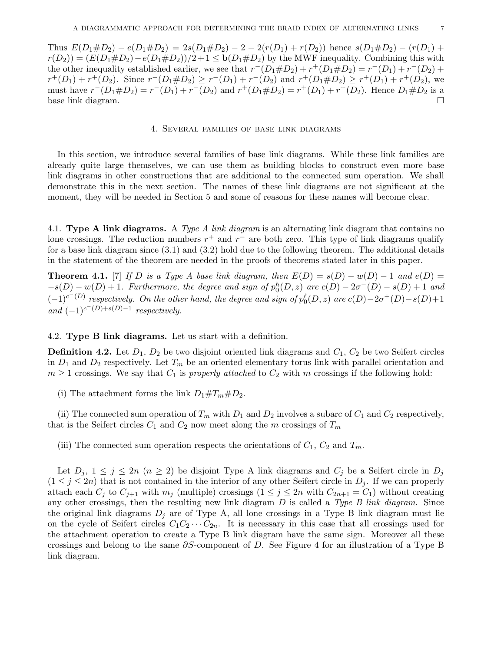Thus  $E(D_1 \# D_2) - e(D_1 \# D_2) = 2s(D_1 \# D_2) - 2 - 2(r(D_1) + r(D_2))$  hence  $s(D_1 \# D_2) - (r(D_1) + r(D_2))$  $r(D_2) = (E(D_1 \# D_2) - e(D_1 \# D_2))/2 + 1 \leq b(D_1 \# D_2)$  by the MWF inequality. Combining this with the other inequality established earlier, we see that  $r^-(D_1 \# D_2) + r^+(D_1 \# D_2) = r^-(D_1) + r^-(D_2) +$  $r^+(D_1) + r^+(D_2)$ . Since  $r^-(D_1 \# D_2) \ge r^-(D_1) + r^-(D_2)$  and  $r^+(D_1 \# D_2) \ge r^+(D_1) + r^+(D_2)$ , we must have  $r^-(D_1\# D_2) = r^-(D_1) + r^-(D_2)$  and  $r^+(D_1\# D_2) = r^+(D_1) + r^+(D_2)$ . Hence  $D_1\# D_2$  is a base link diagram.

## 4. Several families of base link diagrams

In this section, we introduce several families of base link diagrams. While these link families are already quite large themselves, we can use them as building blocks to construct even more base link diagrams in other constructions that are additional to the connected sum operation. We shall demonstrate this in the next section. The names of these link diagrams are not significant at the moment, they will be needed in Section 5 and some of reasons for these names will become clear.

4.1. Type A link diagrams. A Type A link diagram is an alternating link diagram that contains no lone crossings. The reduction numbers  $r^+$  and  $r^-$  are both zero. This type of link diagrams qualify for a base link diagram since (3.1) and (3.2) hold due to the following theorem. The additional details in the statement of the theorem are needed in the proofs of theorems stated later in this paper.

**Theorem 4.1.** [7] If D is a Type A base link diagram, then  $E(D) = s(D) - w(D) - 1$  and  $e(D) =$  $-s(D) - w(D) + 1$ . Furthermore, the degree and sign of  $p_0^h(D, z)$  are  $c(D) - 2\sigma^-(D) - s(D) + 1$  and  $(-1)^{c^-(D)}$  respectively. On the other hand, the degree and sign of  $p_0^{\ell}(D, z)$  are  $c(D)-2\sigma^+(D)-s(D)+1$ and  $(-1)^{c^-(D)+s(D)-1}$  respectively.

4.2. Type B link diagrams. Let us start with a definition.

**Definition 4.2.** Let  $D_1$ ,  $D_2$  be two disjoint oriented link diagrams and  $C_1$ ,  $C_2$  be two Seifert circles in  $D_1$  and  $D_2$  respectively. Let  $T_m$  be an oriented elementary torus link with parallel orientation and  $m \geq 1$  crossings. We say that  $C_1$  is properly attached to  $C_2$  with m crossings if the following hold:

(i) The attachment forms the link  $D_1 \# T_m \# D_2$ .

(ii) The connected sum operation of  $T_m$  with  $D_1$  and  $D_2$  involves a subarc of  $C_1$  and  $C_2$  respectively, that is the Seifert circles  $C_1$  and  $C_2$  now meet along the m crossings of  $T_m$ 

(iii) The connected sum operation respects the orientations of  $C_1$ ,  $C_2$  and  $T_m$ .

Let  $D_i$ ,  $1 \leq j \leq 2n$   $(n \geq 2)$  be disjoint Type A link diagrams and  $C_j$  be a Seifert circle in  $D_j$  $(1 \leq j \leq 2n)$  that is not contained in the interior of any other Seifert circle in  $D_j$ . If we can properly attach each  $C_j$  to  $C_{j+1}$  with  $m_j$  (multiple) crossings  $(1 \leq j \leq 2n$  with  $C_{2n+1} = C_1$ ) without creating any other crossings, then the resulting new link diagram  $D$  is called a Type  $B$  link diagram. Since the original link diagrams  $D_i$  are of Type A, all lone crossings in a Type B link diagram must lie on the cycle of Seifert circles  $C_1C_2 \cdots C_{2n}$ . It is necessary in this case that all crossings used for the attachment operation to create a Type B link diagram have the same sign. Moreover all these crossings and belong to the same  $\partial S$ -component of D. See Figure 4 for an illustration of a Type B link diagram.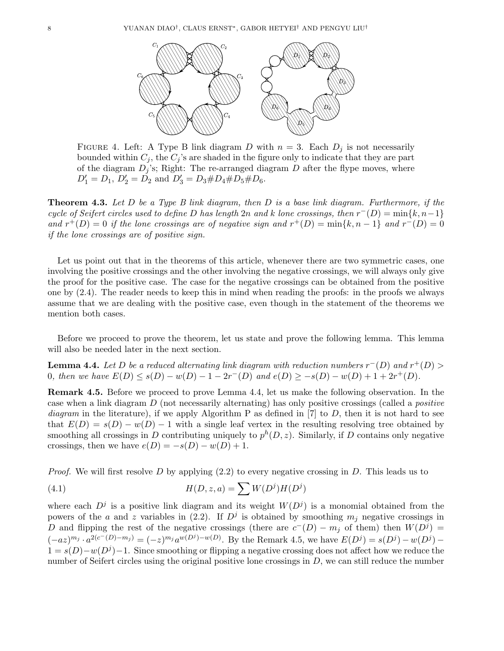

FIGURE 4. Left: A Type B link diagram D with  $n = 3$ . Each  $D_i$  is not necessarily bounded within  $C_j$ , the  $C_j$ 's are shaded in the figure only to indicate that they are part of the diagram  $D_j$ 's; Right: The re-arranged diagram D after the flype moves, where  $D_1' = D_1, D_2' = D_2 \text{ and } D_3' = D_3 \# D_4 \# D_5 \# D_6.$ 

**Theorem 4.3.** Let D be a Type B link diagram, then D is a base link diagram. Furthermore, if the cycle of Seifert circles used to define D has length 2n and k lone crossings, then  $r^-(D) = \min\{k, n-1\}$ and  $r^+(D) = 0$  if the lone crossings are of negative sign and  $r^+(D) = \min\{k, n-1\}$  and  $r^-(D) = 0$ if the lone crossings are of positive sign.

Let us point out that in the theorems of this article, whenever there are two symmetric cases, one involving the positive crossings and the other involving the negative crossings, we will always only give the proof for the positive case. The case for the negative crossings can be obtained from the positive one by (2.4). The reader needs to keep this in mind when reading the proofs: in the proofs we always assume that we are dealing with the positive case, even though in the statement of the theorems we mention both cases.

Before we proceed to prove the theorem, let us state and prove the following lemma. This lemma will also be needed later in the next section.

**Lemma 4.4.** Let D be a reduced alternating link diagram with reduction numbers  $r^-(D)$  and  $r^+(D)$ 0, then we have  $E(D) \leq s(D) - w(D) - 1 - 2r^{-}(D)$  and  $e(D) \geq -s(D) - w(D) + 1 + 2r^{+}(D)$ .

Remark 4.5. Before we proceed to prove Lemma 4.4, let us make the following observation. In the case when a link diagram D (not necessarily alternating) has only positive crossings (called a positive diagram in the literature), if we apply Algorithm P as defined in [7] to D, then it is not hard to see that  $E(D) = s(D) - w(D) - 1$  with a single leaf vertex in the resulting resolving tree obtained by smoothing all crossings in D contributing uniquely to  $p^h(D, z)$ . Similarly, if D contains only negative crossings, then we have  $e(D) = -s(D) - w(D) + 1$ .

*Proof.* We will first resolve D by applying  $(2.2)$  to every negative crossing in D. This leads us to

(4.1) 
$$
H(D, z, a) = \sum W(D^j)H(D^j)
$$

where each  $D^j$  is a positive link diagram and its weight  $W(D^j)$  is a monomial obtained from the powers of the a and z variables in (2.2). If  $D^j$  is obtained by smoothing  $m_j$  negative crossings in D and flipping the rest of the negative crossings (there are  $c^{-}(D) - m_j$  of them) then  $W(D^j) =$  $(-az)^{m_j} \cdot a^{2(c^-(D)-m_j)} = (-z)^{m_j} a^{w(D^j)-w(D)}$ . By the Remark 4.5, we have  $E(D^j) = s(D^j) - w(D^j) 1 = s(D) - w(D^{j}) - 1$ . Since smoothing or flipping a negative crossing does not affect how we reduce the number of Seifert circles using the original positive lone crossings in  $D$ , we can still reduce the number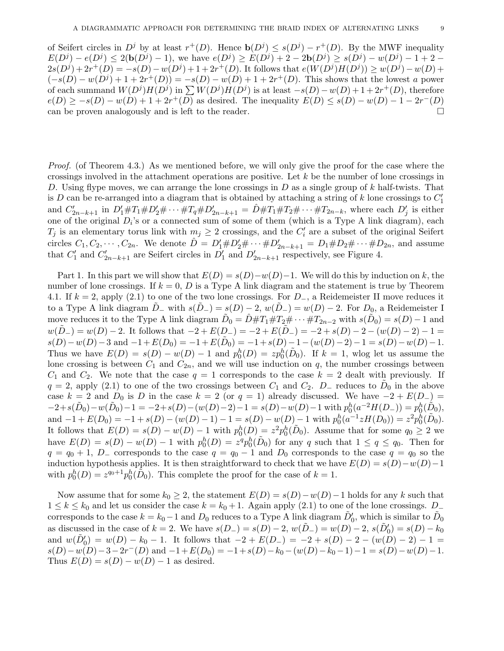of Seifert circles in  $D^j$  by at least  $r^+(D)$ . Hence  $\mathbf{b}(D^j) \leq s(D^j) - r^+(D)$ . By the MWF inequality  $E(D^{j}) - e(D^{j}) \leq 2(b(D^{j}) - 1)$ , we have  $e(D^{j}) \geq E(D^{j}) + 2 - 2b(D^{j}) \geq s(D^{j}) - w(D^{j}) - 1 + 2 - 2b(D^{j})$  $2s(D^{j})+2r^{+}(D)=-s(D)-w(D^{j})+1+2r^{+}(D)$ . It follows that  $e(W(D^{j})H(D^{j}))\geq w(D^{j})-w(D)+$  $(-s(D) - w(D^j) + 1 + 2r^+(D)) = -s(D) - w(D) + 1 + 2r^+(D)$ . This shows that the lowest a power of each summand  $W(D^j)H(D^j)$  in  $\sum W(D^j)H(D^j)$  is at least  $-s(D) - w(D) + 1 + 2r^+(D)$ , therefore  $e(D) \geq -s(D) - w(D) + 1 + 2r^+(\overline{D})$  as desired. The inequality  $E(D) \leq s(D) - w(D) - 1 - 2r^-(D)$ can be proven analogously and is left to the reader.  $\Box$ 

Proof. (of Theorem 4.3.) As we mentioned before, we will only give the proof for the case where the crossings involved in the attachment operations are positive. Let k be the number of lone crossings in D. Using flype moves, we can arrange the lone crossings in D as a single group of  $k$  half-twists. That is D can be re-arranged into a diagram that is obtained by attaching a string of k lone crossings to  $C_1'$ and  $C'_{2n-k+1}$  in  $D'_1 \# T_1 \# D'_2 \# \cdots \# T_q \# D'_{2n-k+1} = \hat{D} \# T_1 \# T_2 \# \cdots \# T_{2n-k}$ , where each  $D'_j$  is either one of the original  $D_i$ 's or a connected sum of some of them (which is a Type A link diagram), each  $T_j$  is an elementary torus link with  $m_j \geq 2$  crossings, and the  $C'_i$  are a subset of the original Seifert circles  $C_1, C_2, \cdots, C_{2n}$ . We denote  $\hat{D} = D'_1 \# D'_2 \# \cdots \# D'_{2n-k+1} = D_1 \# D_2 \# \cdots \# D_{2n}$ , and assume that  $C'_1$  and  $C'_{2n-k+1}$  are Seifert circles in  $D'_1$  and  $D'_{2n-k+1}$  respectively, see Figure 4.

Part 1. In this part we will show that  $E(D) = s(D) - w(D) - 1$ . We will do this by induction on k, the number of lone crossings. If  $k = 0$ , D is a Type A link diagram and the statement is true by Theorem 4.1. If  $k = 2$ , apply (2.1) to one of the two lone crossings. For  $D_{-}$ , a Reidemeister II move reduces it to a Type A link diagram  $D_-\text{ with } s(D_-) = s(D)-2, w(D_-) = w(D)-2.$  For  $D_0$ , a Reidemeister I move reduces it to the Type A link diagram  $\tilde{D}_0 = \hat{D} \# T_1 \# T_2 \# \cdots \# T_{2n-2}$  with  $s(\tilde{D}_0) = s(D) - 1$  and  $w(\tilde{D}_{-}) = w(D) - 2$ . It follows that  $-2 + E(D_{-}) = -2 + E(\tilde{D}_{-}) = -2 + s(D) - 2 - (w(D) - 2) - 1 =$  $s(D)-w(D)-3$  and  $-1+E(D_0)=-1+E(\tilde{D}_0)=-1+s(D)-1-(w(D)-2)-1=s(D)-w(D)-1.$ Thus we have  $E(D) = s(D) - w(D) - 1$  and  $p_0^h(D) = z p_0^h(\tilde{D}_0)$ . If  $k = 1$ , wlog let us assume the lone crossing is between  $C_1$  and  $C_{2n}$ , and we will use induction on q, the number crossings between  $C_1$  and  $C_2$ . We note that the case  $q = 1$  corresponds to the case  $k = 2$  dealt with previously. If  $q = 2$ , apply (2.1) to one of the two crossings between  $C_1$  and  $C_2$ .  $D_$  reduces to  $\tilde{D}_0$  in the above case k = 2 and D<sub>0</sub> is D in the case k = 2 (or  $q = 1$ ) already discussed. We have  $-2 + E(D_{-})$  =  $-2+s(\tilde{D}_0)-w(\tilde{D}_0)-1=-2+s(D)-(w(D)-2)-1=s(D)-w(D)-1$  with  $p_0^h(a^{-2}H(D_-))=p_0^h(\tilde{D}_0),$ and  $-1 + E(D_0) = -1 + s(D) - (w(D) - 1) - 1 = s(D) - w(D) - 1$  with  $p_0^h(a^{-1}zH(D_0)) = z^2p_0^h(\tilde{D}_0)$ . It follows that  $E(D) = s(D) - w(D) - 1$  with  $p_0^h(D) = z^2 p_0^h(D_0)$ . Assume that for some  $q_0 \ge 2$  we have  $E(D) = s(D) - w(D) - 1$  with  $p_0^h(D) = z^q p_0^h(\tilde{D}_0)$  for any q such that  $1 \le q \le q_0$ . Then for  $q = q_0 + 1$ , D<sub>-</sub> corresponds to the case  $q = q_0 - 1$  and D<sub>0</sub> corresponds to the case  $q = q_0$  so the induction hypothesis applies. It is then straightforward to check that we have  $E(D) = s(D) - w(D) - 1$ with  $p_0^h(D) = z^{q_0+1} p_0^h(\tilde{D}_0)$ . This complete the proof for the case of  $k = 1$ .

Now assume that for some  $k_0 \geq 2$ , the statement  $E(D) = s(D) - w(D) - 1$  holds for any k such that  $1 \leq k \leq k_0$  and let us consider the case  $k = k_0 + 1$ . Again apply (2.1) to one of the lone crossings. D corresponds to the case  $k = k_0 - 1$  and  $D_0$  reduces to a Type A link diagram  $\tilde{D}'_0$ , which is similar to  $\tilde{D}_0$ as discussed in the case of  $k = 2$ . We have  $s(D_{-}) = s(D) - 2$ ,  $w(D_{-}) = w(D) - 2$ ,  $s(D_{0}) = s(D) - k_{0}$ and  $w(\tilde{D}'_0) = w(D) - k_0 - 1$ . It follows that  $-2 + E(D_{-}) = -2 + s(D) - 2 - (w(D) - 2) - 1 =$  $s(D) - w(D) - 3 - 2r^{-}(D)$  and  $-1 + E(D_0) = -1 + s(D) - k_0 - (w(D) - k_0 - 1) - 1 = s(D) - w(D) - 1$ . Thus  $E(D) = s(D) - w(D) - 1$  as desired.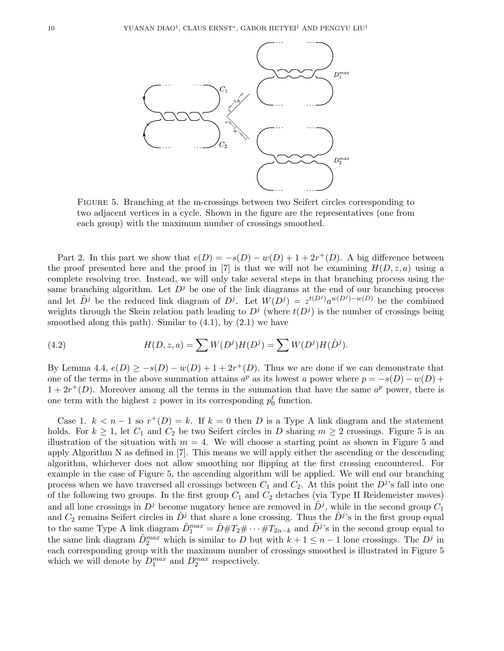

Figure 5. Branching at the m-crossings between two Seifert circles corresponding to two adjacent vertices in a cycle. Shown in the figure are the representatives (one from each group) with the maximum number of crossings smoothed.

Part 2. In this part we show that  $e(D) = -s(D) - w(D) + 1 + 2r^+(D)$ . A big difference between the proof presented here and the proof in [7] is that we will not be examining  $H(D, z, a)$  using a complete resolving tree. Instead, we will only take several steps in that branching process using the same branching algorithm. Let  $D^j$  be one of the link diagrams at the end of our branching process and let  $\tilde{D}^j$  be the reduced link diagram of  $D^j$ . Let  $W(D^j) = z^{t(D^j)} a^{w(D^j) - w(D)}$  be the combined weights through the Skein relation path leading to  $D<sup>j</sup>$  (where  $t(D<sup>j</sup>)$  is the number of crossings being smoothed along this path). Similar to  $(4.1)$ , by  $(2.1)$  we have

(4.2) 
$$
H(D, z, a) = \sum W(D^{j})H(D^{j}) = \sum W(D^{j})H(D^{j}).
$$

By Lemma 4.4,  $e(D) \geq -s(D) - w(D) + 1 + 2r^+(D)$ . Thus we are done if we can demonstrate that one of the terms in the above summation attains  $a^p$  as its lowest a power where  $p = -s(D) - w(D) +$  $1+2r^+(D)$ . Moreover among all the terms in the summation that have the same  $a^p$  power, there is one term with the highest z power in its corresponding  $p_0^{\ell}$  function.

Case 1.  $k < n-1$  so  $r^+(D) = k$ . If  $k = 0$  then D is a Type A link diagram and the statement holds. For  $k \geq 1$ , let  $C_1$  and  $C_2$  be two Seifert circles in D sharing  $m \geq 2$  crossings. Figure 5 is an illustration of the situation with  $m = 4$ . We will choose a starting point as shown in Figure 5 and apply Algorithm N as defined in [7]. This means we will apply either the ascending or the descending algorithm, whichever does not allow smoothing nor flipping at the first crossing encountered. For example in the case of Figure 5, the ascending algorithm will be applied. We will end our branching process when we have traversed all crossings between  $C_1$  and  $C_2$ . At this point the  $D<sup>j</sup>$ 's fall into one of the following two groups. In the first group  $C_1$  and  $C_2$  detaches (via Type II Reidemeister moves) and all lone crossings in  $D^j$  become nugatory hence are removed in  $D^j$ , while in the second group  $C_1$ and  $C_2$  remains Seifert circles in  $\tilde{D}^j$  that share a lone crossing. Thus the  $\tilde{D}^j$ 's in the first group equal to the same Type A link diagram  $\tilde{D}_1^{max} = \hat{D} \# T_2 \# \cdots \# T_{2n-k}$  and  $\tilde{D}^j$ 's in the second group equal to the same link diagram  $\tilde{D}_2^{max}$  which is similar to D but with  $k+1 \leq n-1$  lone crossings. The  $D^j$  in each corresponding group with the maximum number of crossings smoothed is illustrated in Figure 5 which we will denote by  $D_1^{max}$  and  $D_2^{max}$  respectively.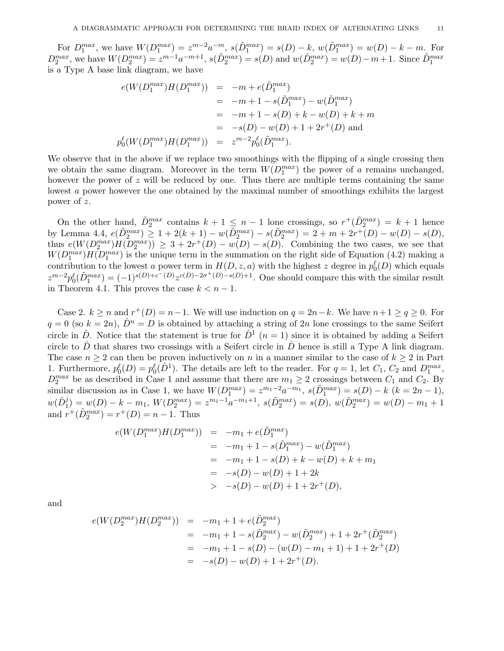For  $D_1^{max}$ , we have  $W(D_1^{max}) = z^{m-2}a^{-m}$ ,  $s(\tilde{D}_1^{max}) = s(D) - k$ ,  $w(\tilde{D}_1^{max}) = w(D) - k - m$ . For  $D_2^{max}$ , we have  $W(D_2^{max}) = z^{m-1}a^{-m+1}$ ,  $s(\tilde{D}_2^{max}) = s(D)$  and  $w(\tilde{D}_2^{max}) = w(D) - m + 1$ . Since  $\tilde{D}_1^{max}$ is a Type A base link diagram, we have

$$
e(W(D_1^{max})H(D_1^{max})) = -m + e(\tilde{D}_1^{max})
$$
  
= -m + 1 - s(\tilde{D}\_1^{max}) - w(\tilde{D}\_1^{max})  
= -m + 1 - s(D) + k - w(D) + k + m  
= -s(D) - w(D) + 1 + 2r<sup>+</sup>(D) and  

$$
p_0^{\ell}(W(D_1^{max})H(D_1^{max})) = z^{m-2}p_0^{\ell}(\tilde{D}_1^{max}).
$$

We observe that in the above if we replace two smoothings with the flipping of a single crossing then we obtain the same diagram. Moreover in the term  $W(D_1^{max})$  the power of a remains unchanged, however the power of z will be reduced by one. Thus there are multiple terms containing the same lowest a power however the one obtained by the maximal number of smoothings exhibits the largest power of z.

On the other hand,  $\tilde{D}_2^{max}$  contains  $k+1 \leq n-1$  lone crossings, so  $r^+(\tilde{D}_2^{max}) = k+1$  hence by Lemma 4.4,  $e(\tilde{D}_2^{max}) \geq 1 + 2(k+1) - w(\tilde{D}_2^{max}) - s(\tilde{D}_2^{max}) = 2 + m + 2r^+(D) - w(D) - s(D)$ , thus  $e(W(D_2^{max})H(D_2^{max})) \geq 3 + 2r^+(D) - w(D) - s(D)$ . Combining the two cases, we see that  $W(D_1^{max})H(D_1^{max})$  is the unique term in the summation on the right side of Equation (4.2) making a contribution to the lowest a power term in  $H(D, z, a)$  with the highest z degree in  $p_0^{\ell}(D)$  which equals  $z^{m-2}p_0^{\ell}(\tilde{D}_1^{max}) = (-1)^{s(D)+c^-(D)}z^{c(D)-2\sigma^+(D)-s(D)+1}$ . One should compare this with the similar result in Theorem 4.1. This proves the case  $k < n - 1$ .

Case 2.  $k \ge n$  and  $r^+(D) = n-1$ . We will use induction on  $q = 2n-k$ . We have  $n+1 \ge q \ge 0$ . For  $q = 0$  (so  $k = 2n$ ),  $\hat{D}^n = D$  is obtained by attaching a string of 2n lone crossings to the same Seifert circle in  $\hat{D}$ . Notice that the statement is true for  $\hat{D}^1$   $(n = 1)$  since it is obtained by adding a Seifert circle to  $\hat{D}$  that shares two crossings with a Seifert circle in  $\hat{D}$  hence is still a Type A link diagram. The case  $n \geq 2$  can then be proven inductively on n in a manner similar to the case of  $k \geq 2$  in Part 1. Furthermore,  $p_0^{\ell}(D) = p_0^{\ell}(D^1)$ . The details are left to the reader. For  $q = 1$ , let  $C_1$ ,  $C_2$  and  $D_1^{max}$ ,  $D_2^{max}$  be as described in Case 1 and assume that there are  $m_1 \geq 2$  crossings between  $C_1$  and  $C_2$ . By similar discussion as in Case 1, we have  $W(D_1^{max}) = z^{m_1-2}a^{-m_1}$ ,  $s(\tilde{D}_1^{max}) = s(D) - k$   $(k = 2n - 1)$ ,  $w(\tilde{D}_1^j) = w(D) - k - m_1, \ W(D_2^{max}) = z^{m_1-1}a^{-m_1+1}, \ s(\tilde{D}_2^{max}) = s(D), \ w(\tilde{D}_2^{max}) = w(D) - m_1 + 1$ and  $r^+(\tilde{D}_2^{max}) = r^+(D) = n - 1$ . Thus

$$
e(W(D_1^{max})H(D_1^{max})) = -m_1 + e(\tilde{D}_1^{max})
$$
  
= -m\_1 + 1 - s(\tilde{D}\_1^{max}) - w(\tilde{D}\_1^{max})  
= -m\_1 + 1 - s(D) + k - w(D) + k + m\_1  
= -s(D) - w(D) + 1 + 2k  
> -s(D) - w(D) + 1 + 2r<sup>+</sup>(D),

and

$$
e(W(D_2^{max})H(D_2^{max})) = -m_1 + 1 + e(\tilde{D}_2^{max})
$$
  
= -m\_1 + 1 - s(\tilde{D}\_2^{max}) - w(\tilde{D}\_2^{max}) + 1 + 2r^+(\tilde{D}\_2^{max})  
= -m\_1 + 1 - s(D) - (w(D) - m\_1 + 1) + 1 + 2r^+(D)  
= -s(D) - w(D) + 1 + 2r^+(D).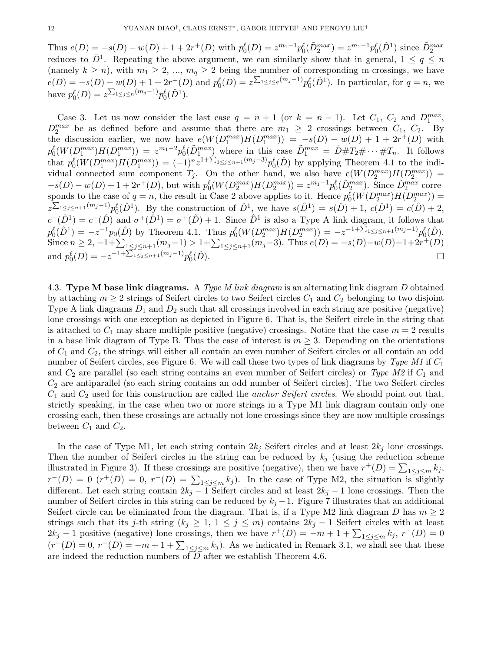Thus  $e(D) = -s(D) - w(D) + 1 + 2r^+(D)$  with  $p_0^{\ell}(D) = z^{m_1-1}p_0^{\ell}(\tilde{D}_2^{max}) = z^{m_1-1}p_0^{\ell}(\hat{D}^1)$  since  $\tilde{D}_2^{max}$ reduces to  $\hat{D}^1$ . Repeating the above argument, we can similarly show that in general,  $1 \le q \le n$ (namely  $k \ge n$ ), with  $m_1 \ge 2, ..., m_q \ge 2$  being the number of corresponding m-crossings, we have  $e(D) = -s(D) - w(D) + 1 + 2r^{+}(D)$  and  $p_{0}^{\ell}(D) = z^{\sum_{1 \leq j \leq q} (m_{j}-1)} p_{0}^{\ell}(\hat{D}^{1})$ . In particular, for  $q = n$ , we have  $p_0^{\ell}(D) = z^{\sum_{1 \leq j \leq n} (m_j - 1)} p_0^{\ell}(\hat{D}^1)$ .

Case 3. Let us now consider the last case  $q = n + 1$  (or  $k = n - 1$ ). Let  $C_1$ ,  $C_2$  and  $D_1^{max}$ ,  $D_2^{max}$  be as defined before and assume that there are  $m_1 \geq 2$  crossings between  $C_1$ ,  $C_2$ . By the discussion earlier, we now have  $e(W(D_1^{max})H(D_1^{max})) = -s(D) - w(D) + 1 + 2r^+(D)$  with  $p_0^{\ell}(W(D_1^{max})H(D_1^{max}) = z^{m_1-2}p_0^{\ell}(\tilde{D}_1^{max})$  where in this case  $\tilde{D}_1^{max} = \tilde{D} \# T_2 \# \cdots \# T_n$ . It follows that  $p_0^{\ell}(W(D_1^{max})H(D_1^{max})) = (-1)^n z^{1+\sum_{1 \leq j \leq n+1}(m_j-3)} p_0^{\ell}(\hat{D})$  by applying Theorem 4.1 to the individual connected sum component  $T_j$ . On the other hand, we also have  $e(W(D_2^{max})H(D_2^{max}))$  $-s(D) - w(D) + 1 + 2r^+(D)$ , but with  $p_0^{\ell}(W(D_2^{max})H(D_2^{max})) = z^{m_1-1}p_0^{\ell}(\tilde{D}_2^{max})$ . Since  $\tilde{D}_2^{max}$  corresponds to the case of  $q = n$ , the result in Case 2 above applies to it. Hence  $p_0^{\ell}(W(D_2^{max})H(D_2^{max})) =$  $z^{\sum_{1\leq j\leq n+1}(m_j-1)}p_0^{\ell}(\hat{D}^1)$ . By the construction of  $\hat{D}^1$ , we have  $s(\hat{D}^1)=s(\hat{D})+1$ ,  $c(\hat{D}^1)=c(\hat{D})+2$ ,  $c^-(\hat{D}^1) = c^-(\hat{D})$  and  $\sigma^+(\hat{D}^1) = \sigma^+(\hat{D}) + 1$ . Since  $\hat{D}^1$  is also a Type A link diagram, it follows that  $p_0^{\ell}(\hat{D}^1) = -z^{-1}p_0(\hat{D})$  by Theorem 4.1. Thus  $p_0^{\ell}(W(D_2^{max})H(D_2^{max})) = -z^{-1+\sum_{1 \leq j \leq n+1}(m_j-1)}p_0^{\ell}(\hat{D}).$ Since  $n \ge 2$ ,  $-1+\sum_{1 \le j \le n+1} (m_j-1) > 1+\sum_{1 \le j \le n+1} (m_j-3)$ . Thus  $e(D) = -s(D)-w(D)+1+2r^+(D)$ and  $p_0^{\ell}(D) = -z^{-1+\sum_{1 \le j \le n+1} (m_j-1)} p_0^{\ell}$  $(\hat{D}).$ 

4.3. Type M base link diagrams. A Type M link diagram is an alternating link diagram D obtained by attaching  $m \geq 2$  strings of Seifert circles to two Seifert circles  $C_1$  and  $C_2$  belonging to two disjoint Type A link diagrams  $D_1$  and  $D_2$  such that all crossings involved in each string are positive (negative) lone crossings with one exception as depicted in Figure 6. That is, the Seifert circle in the string that is attached to  $C_1$  may share multiple positive (negative) crossings. Notice that the case  $m = 2$  results in a base link diagram of Type B. Thus the case of interest is  $m \geq 3$ . Depending on the orientations of  $C_1$  and  $C_2$ , the strings will either all contain an even number of Seifert circles or all contain an odd number of Seifert circles, see Figure 6. We will call these two types of link diagrams by Type M1 if  $C_1$ and  $C_2$  are parallel (so each string contains an even number of Seifert circles) or Type M2 if  $C_1$  and  $C_2$  are antiparallel (so each string contains an odd number of Seifert circles). The two Seifert circles  $C_1$  and  $C_2$  used for this construction are called the *anchor Seifert circles*. We should point out that, strictly speaking, in the case when two or more strings in a Type M1 link diagram contain only one crossing each, then these crossings are actually not lone crossings since they are now multiple crossings between  $C_1$  and  $C_2$ .

In the case of Type M1, let each string contain  $2k_j$  Seifert circles and at least  $2k_j$  lone crossings. Then the number of Seifert circles in the string can be reduced by  $k_j$  (using the reduction scheme illustrated in Figure 3). If these crossings are positive (negative), then we have  $r^+(D) = \sum_{1 \leq j \leq m} k_j$ ,  $r^-(D) = 0$   $(r^+(D) = 0, r^-(D) = \sum_{1 \leq j \leq m} k_j$ . In the case of Type M2, the situation is slightly different. Let each string contain  $2k_j - 1$  Seifert circles and at least  $2k_j - 1$  lone crossings. Then the number of Seifert circles in this string can be reduced by  $k_j - 1$ . Figure 7 illustrates that an additional Seifert circle can be eliminated from the diagram. That is, if a Type M2 link diagram D has  $m \geq 2$ strings such that its j-th string  $(k_j \geq 1, 1 \leq j \leq m)$  contains  $2k_j - 1$  Seifert circles with at least  $2k_j - 1$  positive (negative) lone crossings, then we have  $r^+(D) = -m + 1 + \sum_{1 \leq j \leq m} k_j$ ,  $r^-(D) = 0$  $(r^+(D) = 0, r^-(D) = -m + 1 + \sum_{1 \leq j \leq m} k_j$ . As we indicated in Remark 3.1, we shall see that these are indeed the reduction numbers of  $\overline{D}$  after we establish Theorem 4.6.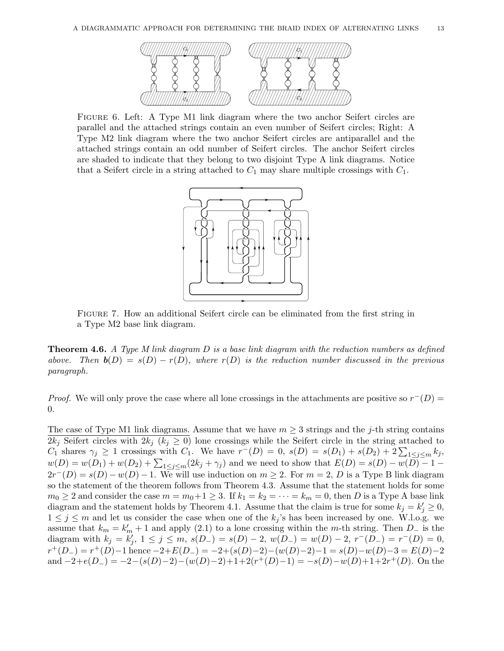

Figure 6. Left: A Type M1 link diagram where the two anchor Seifert circles are parallel and the attached strings contain an even number of Seifert circles; Right: A Type M2 link diagram where the two anchor Seifert circles are antiparallel and the attached strings contain an odd number of Seifert circles. The anchor Seifert circles are shaded to indicate that they belong to two disjoint Type A link diagrams. Notice that a Seifert circle in a string attached to  $C_1$  may share multiple crossings with  $C_1$ .



Figure 7. How an additional Seifert circle can be eliminated from the first string in a Type M2 base link diagram.

**Theorem 4.6.** A Type M link diagram  $D$  is a base link diagram with the reduction numbers as defined above. Then  $\mathbf{b}(D) = s(D) - r(D)$ , where  $r(D)$  is the reduction number discussed in the previous paragraph.

*Proof.* We will only prove the case where all lone crossings in the attachments are positive so  $r^{-}(D)$  = 0.

The case of Type M1 link diagrams. Assume that we have  $m \geq 3$  strings and the j-th string contains  $2k_j$  Seifert circles with  $2k_j$  ( $k_j \geq 0$ ) lone crossings while the Seifert circle in the string attached to  $C_1$  shares  $\gamma_j \geq 1$  crossings with  $C_1$ . We have  $r^-(D) = 0$ ,  $s(D) = s(D_1) + s(D_2) + 2\sum_{1 \leq j \leq m} k_j$ ,  $w(D) = w(D_1) + w(D_2) + \sum_{1 \le j \le m} (2k_j + \gamma_j)$  and we need to show that  $E(D) = s(D) - w(D) - 1 2r^-(D) = s(D) - w(D) - 1$ . We will use induction on  $m \geq 2$ . For  $m = 2$ , D is a Type B link diagram so the statement of the theorem follows from Theorem 4.3. Assume that the statement holds for some  $m_0 \geq 2$  and consider the case  $m = m_0 + 1 \geq 3$ . If  $k_1 = k_2 = \cdots = k_m = 0$ , then D is a Type A base link diagram and the statement holds by Theorem 4.1. Assume that the claim is true for some  $k_j = k'_j \geq 0$ ,  $1 \leq j \leq m$  and let us consider the case when one of the  $k_j$ 's has been increased by one. W.l.o.g. we assume that  $k_m = k'_m + 1$  and apply (2.1) to a lone crossing within the m-th string. Then  $D_-\$  is the diagram with  $k_j = k'_j$ ,  $1 \le j \le m$ ,  $s(D_+) = s(D) - 2$ ,  $w(D_-) = w(D) - 2$ ,  $r^-(D_-) = r^-(D) = 0$ ,  $r^+(D_-) = r^+(D) - 1$  hence  $-2 + E(D_-) = -2 + (s(D) - 2) - (w(D) - 2) - 1 = s(D) - w(D) - 3 = E(D) - 2$ and  $-2+e(D) = -2-(s(D)-2)-(w(D)-2)+1+2(r^+(D)-1) = -s(D)-w(D)+1+2r^+(D)$ . On the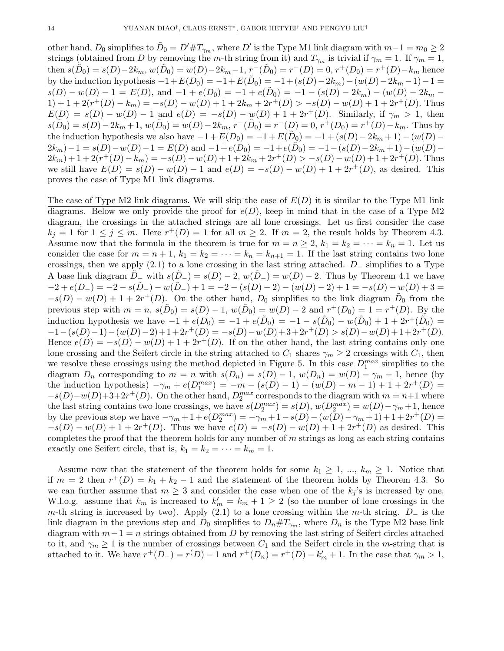other hand,  $D_0$  simplifies to  $\tilde{D}_0 = D' \# T_{\gamma_m}$ , where  $D'$  is the Type M1 link diagram with  $m-1=m_0 \geq 2$ strings (obtained from D by removing the m-th string from it) and  $T_{\gamma_m}$  is trivial if  $\gamma_m = 1$ . If  $\gamma_m = 1$ , then  $s(\tilde{D}_0) = s(D) - 2k_m$ ,  $w(\tilde{D}_0) = w(D) - 2k_m - 1$ ,  $r^-(\tilde{D}_0) = r^-(D) = 0$ ,  $r^+(D_0) = r^+(D) - k_m$  hence by the induction hypothesis  $-1+E(D_0) = -1+E(\tilde{D}_0) = -1+(s(D)-2k_m)-(w(D)-2k_m-1)-1=$  $s(D) - w(D) - 1 = E(D)$ , and  $-1 + e(D_0) = -1 + e(D_0) = -1 - (s(D) - 2k_m) - (w(D) - 2k_m 1) + 1 + 2(r^+(D) - k_m) = -s(D) - w(D) + 1 + 2k_m + 2r^+(D) > -s(D) - w(D) + 1 + 2r^+(D)$ . Thus  $E(D) = s(D) - w(D) - 1$  and  $e(D) = -s(D) - w(D) + 1 + 2r^+(D)$ . Similarly, if  $\gamma_m > 1$ , then  $s(D_0) = s(D) - 2k_m + 1$ ,  $w(D_0) = w(D) - 2k_m$ ,  $r^-(D_0) = r^-(D) = 0$ ,  $r^+(D_0) = r^+(D) - k_m$ . Thus by the induction hypothesis we also have  $-1 + E(D_0) = -1 + E(D_0) = -1 + (s(D) - 2k_m + 1) - (w(D) - 1)$  $2k_m)-1 = s(D) - w(D) - 1 = E(D)$  and  $-1 + e(D_0) = -1 + e(D_0) = -1 - (s(D) - 2k_m + 1) - (w(D) - 1)$  $2k_m$ ) + 1 + 2( $r^+(D) - k_m$ ) =  $-s(D) - w(D) + 1 + 2k_m + 2r^+(D) > -s(D) - w(D) + 1 + 2r^+(D)$ . Thus we still have  $E(D) = s(D) - w(D) - 1$  and  $e(D) = -s(D) - w(D) + 1 + 2r^+(D)$ , as desired. This proves the case of Type M1 link diagrams.

The case of Type M2 link diagrams. We will skip the case of  $E(D)$  it is similar to the Type M1 link diagrams. Below we only provide the proof for  $e(D)$ , keep in mind that in the case of a Type M2 diagram, the crossings in the attached strings are all lone crossings. Let us first consider the case  $k_j = 1$  for  $1 \le j \le m$ . Here  $r^+(D) = 1$  for all  $m \ge 2$ . If  $m = 2$ , the result holds by Theorem 4.3. Assume now that the formula in the theorem is true for  $m = n \geq 2$ ,  $k_1 = k_2 = \cdots = k_n = 1$ . Let us consider the case for  $m = n + 1$ ,  $k_1 = k_2 = \cdots = k_n = k_{n+1} = 1$ . If the last string contains two lone crossings, then we apply  $(2.1)$  to a lone crossing in the last string attached. D<sub>−</sub> simplifies to a Type A base link diagram  $D_-\text{ with } s(D_-\) = s(D)-2, w(D_-\) = w(D)-2.$  Thus by Theorem 4.1 we have  $-2 + e(D_{-}) = -2 - s(D_{-}) - w(D_{-}) + 1 = -2 - (s(D) - 2) - (w(D) - 2) + 1 = -s(D) - w(D) + 3 =$  $-s(D) - w(D) + 1 + 2r^+(D)$ . On the other hand,  $D_0$  simplifies to the link diagram  $\tilde{D}_0$  from the previous step with  $m = n$ ,  $s(D_0) = s(D) - 1$ ,  $w(D_0) = w(D) - 2$  and  $r^+(D_0) = 1 = r^+(D)$ . By the induction hypothesis we have  $-1 + e(D_0) = -1 + e(\tilde{D}_0) = -1 - s(\tilde{D}_0) - w(\tilde{D}_0) + 1 + 2r^+(\tilde{D}_0) =$  $-1-(s(D)-1)-(w(D)-2)+1+2r^+(D)=-s(D)-w(D)+3+2r^+(D)>s(D)-w(D)+1+2r^+(D).$ Hence  $e(D) = -s(D) - w(D) + 1 + 2r^+(D)$ . If on the other hand, the last string contains only one lone crossing and the Seifert circle in the string attached to  $C_1$  shares  $\gamma_m \geq 2$  crossings with  $C_1$ , then we resolve these crossings using the method depicted in Figure 5. In this case  $D_1^{max}$  simplifies to the diagram  $D_n$  corresponding to  $m = n$  with  $s(D_n) = s(D) - 1$ ,  $w(D_n) = w(D) - \gamma_m - 1$ , hence (by the induction hypothesis)  $-\gamma_m + e(D_1^{max}) = -m - (s(D) - 1) - (w(D) - m - 1) + 1 + 2r^+(D) =$  $-s(D)-w(D)+3+2r^+(D)$ . On the other hand,  $D_2^{max}$  corresponds to the diagram with  $m = n+1$  where the last string contains two lone crossings, we have  $s(D_2^{max}) = s(D)$ ,  $w(D_2^{max}) = w(D) - \gamma_m + 1$ , hence by the previous step we have  $-\gamma_m + 1 + e(D_2^{max}) = -\gamma_m + 1 - s(D) - (w(D) - \gamma_m + 1) + 1 + 2r^+(D) =$  $-s(D) - w(D) + 1 + 2r^+(D)$ . Thus we have  $e(D) = -s(D) - w(D) + 1 + 2r^+(D)$  as desired. This completes the proof that the theorem holds for any number of  $m$  strings as long as each string contains exactly one Seifert circle, that is,  $k_1 = k_2 = \cdots = k_m = 1$ .

Assume now that the statement of the theorem holds for some  $k_1 \geq 1, ..., k_m \geq 1$ . Notice that if  $m = 2$  then  $r^+(D) = k_1 + k_2 - 1$  and the statement of the theorem holds by Theorem 4.3. So we can further assume that  $m \geq 3$  and consider the case when one of the  $k_j$ 's is increased by one. W.l.o.g. assume that  $k_m$  is increased to  $k'_m = k_m + 1 \geq 2$  (so the number of lone crossings in the m-th string is increased by two). Apply (2.1) to a lone crossing within the m-th string.  $D_-\$  is the link diagram in the previous step and  $D_0$  simplifies to  $D_n \# T_{\gamma_m}$ , where  $D_n$  is the Type M2 base link diagram with  $m-1 = n$  strings obtained from D by removing the last string of Seifert circles attached to it, and  $\gamma_m \geq 1$  is the number of crossings between  $C_1$  and the Seifert circle in the m-string that is attached to it. We have  $r^+(D^-) = r^(D) - 1$  and  $r^+(D_n) = r^+(D) - k'_m + 1$ . In the case that  $\gamma_m > 1$ ,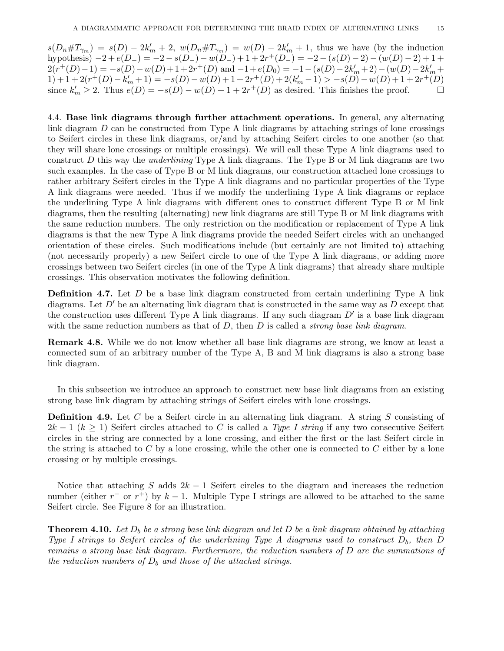$s(D_n \# T_{\gamma_m}) = s(D) - 2k'_m + 2$ ,  $w(D_n \# T_{\gamma_m}) = w(D) - 2k'_m + 1$ , thus we have (by the induction hypothesis)  $-2 + e(D_{-}) = -2 - s(D_{-}) - w(D_{-}) + 1 + 2r^{+}(D_{-}) = -2 - (s(D) - 2) - (w(D) - 2) + 1 +$  $2(r^+(D)-1) = -s(D) - w(D) + 1 + 2r^+(D)$  and  $-1 + e(D_0) = -1 - (s(D) - 2k'_m + 2) - (w(D) - 2k'_m + 2)$  $1) + 1 + 2(r^{+}(D) - k'_{m} + 1) = -s(D) - w(D) + 1 + 2r^{+}(D) + 2(k'_{m} - 1) > -s(D) - w(D) + 1 + 2r^{+}(D)$ since  $k'_m \ge 2$ . Thus  $e(D) = -s(D) - w(D) + 1 + 2r^+(D)$  as desired. This finishes the proof.

4.4. Base link diagrams through further attachment operations. In general, any alternating link diagram D can be constructed from Type A link diagrams by attaching strings of lone crossings to Seifert circles in these link diagrams, or/and by attaching Seifert circles to one another (so that they will share lone crossings or multiple crossings). We will call these Type A link diagrams used to construct  $D$  this way the *underlining* Type A link diagrams. The Type B or M link diagrams are two such examples. In the case of Type B or M link diagrams, our construction attached lone crossings to rather arbitrary Seifert circles in the Type A link diagrams and no particular properties of the Type A link diagrams were needed. Thus if we modify the underlining Type A link diagrams or replace the underlining Type A link diagrams with different ones to construct different Type B or M link diagrams, then the resulting (alternating) new link diagrams are still Type B or M link diagrams with the same reduction numbers. The only restriction on the modification or replacement of Type A link diagrams is that the new Type A link diagrams provide the needed Seifert circles with an unchanged orientation of these circles. Such modifications include (but certainly are not limited to) attaching (not necessarily properly) a new Seifert circle to one of the Type A link diagrams, or adding more crossings between two Seifert circles (in one of the Type A link diagrams) that already share multiple crossings. This observation motivates the following definition.

**Definition 4.7.** Let  $D$  be a base link diagram constructed from certain underlining Type A link diagrams. Let  $D'$  be an alternating link diagram that is constructed in the same way as D except that the construction uses different Type A link diagrams. If any such diagram  $D'$  is a base link diagram with the same reduction numbers as that of  $D$ , then  $D$  is called a *strong base link diagram*.

Remark 4.8. While we do not know whether all base link diagrams are strong, we know at least a connected sum of an arbitrary number of the Type A, B and M link diagrams is also a strong base link diagram.

In this subsection we introduce an approach to construct new base link diagrams from an existing strong base link diagram by attaching strings of Seifert circles with lone crossings.

**Definition 4.9.** Let  $C$  be a Seifert circle in an alternating link diagram. A string  $S$  consisting of  $2k-1$  ( $k \geq 1$ ) Seifert circles attached to C is called a Type I string if any two consecutive Seifert circles in the string are connected by a lone crossing, and either the first or the last Seifert circle in the string is attached to  $C$  by a lone crossing, while the other one is connected to  $C$  either by a lone crossing or by multiple crossings.

Notice that attaching S adds  $2k - 1$  Seifert circles to the diagram and increases the reduction number (either  $r^-$  or  $r^+$ ) by  $k-1$ . Multiple Type I strings are allowed to be attached to the same Seifert circle. See Figure 8 for an illustration.

**Theorem 4.10.** Let  $D_b$  be a strong base link diagram and let  $D$  be a link diagram obtained by attaching Type I strings to Seifert circles of the underlining Type A diagrams used to construct  $D_b$ , then D remains a strong base link diagram. Furthermore, the reduction numbers of D are the summations of the reduction numbers of  $D_b$  and those of the attached strings.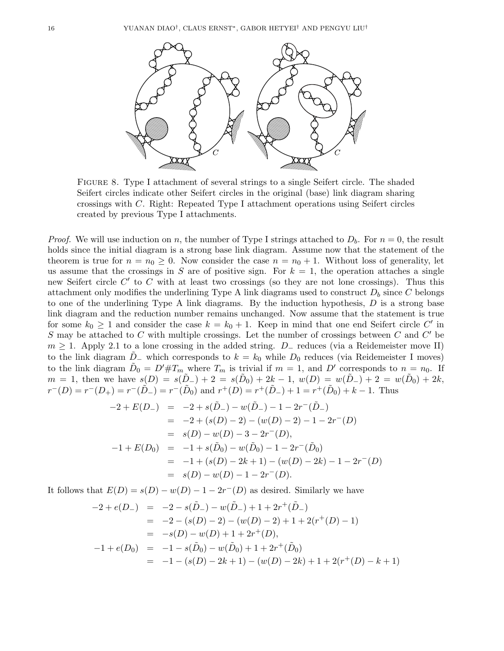

Figure 8. Type I attachment of several strings to a single Seifert circle. The shaded Seifert circles indicate other Seifert circles in the original (base) link diagram sharing crossings with C. Right: Repeated Type I attachment operations using Seifert circles created by previous Type I attachments.

*Proof.* We will use induction on n, the number of Type I strings attached to  $D_b$ . For  $n = 0$ , the result holds since the initial diagram is a strong base link diagram. Assume now that the statement of the theorem is true for  $n = n_0 \geq 0$ . Now consider the case  $n = n_0 + 1$ . Without loss of generality, let us assume that the crossings in S are of positive sign. For  $k = 1$ , the operation attaches a single new Seifert circle  $C'$  to  $C$  with at least two crossings (so they are not lone crossings). Thus this attachment only modifies the underlining Type A link diagrams used to construct  $D<sub>b</sub>$  since C belongs to one of the underlining Type A link diagrams. By the induction hypothesis,  $D$  is a strong base link diagram and the reduction number remains unchanged. Now assume that the statement is true for some  $k_0 \geq 1$  and consider the case  $k = k_0 + 1$ . Keep in mind that one end Seifert circle C' in S may be attached to C with multiple crossings. Let the number of crossings between C and  $C'$  be  $m \geq 1$ . Apply 2.1 to a lone crossing in the added string.  $D_-\$  reduces (via a Reidemeister move II) to the link diagram  $D_−$  which corresponds to  $k = k_0$  while  $D_0$  reduces (via Reidemeister I moves) to the link diagram  $\tilde{D}_0 = D' \# T_m$  where  $T_m$  is trivial if  $m = 1$ , and  $D'$  corresponds to  $n = n_0$ . If  $m = 1$ , then we have  $s(D) = s(D) - 2 = s(D_0) + 2k - 1$ ,  $w(D) = w(D) - 2 = w(D_0) + 2k$ ,  $r^-(D) = r^-(D_+) = r^-(\tilde{D}_-) = r^-(\tilde{D}_0)$  and  $r^+(D) = r^+(\tilde{D}_-) + 1 = r^+(\tilde{D}_0) + k - 1$ . Thus

$$
-2 + E(D_{-}) = -2 + s(\tilde{D}_{-}) - w(\tilde{D}_{-}) - 1 - 2r^{-}(\tilde{D}_{-})
$$
  
\n
$$
= -2 + (s(D) - 2) - (w(D) - 2) - 1 - 2r^{-}(D)
$$
  
\n
$$
= s(D) - w(D) - 3 - 2r^{-}(D),
$$
  
\n
$$
-1 + E(D_{0}) = -1 + s(\tilde{D}_{0}) - w(\tilde{D}_{0}) - 1 - 2r^{-}(\tilde{D}_{0})
$$
  
\n
$$
= -1 + (s(D) - 2k + 1) - (w(D) - 2k) - 1 - 2r^{-}(D)
$$
  
\n
$$
= s(D) - w(D) - 1 - 2r^{-}(D).
$$

It follows that  $E(D) = s(D) - w(D) - 1 - 2r^{-}(D)$  as desired. Similarly we have

$$
-2 + e(D_{-}) = -2 - s(\tilde{D}_{-}) - w(\tilde{D}_{-}) + 1 + 2r^{+}(\tilde{D}_{-})
$$
  
\n
$$
= -2 - (s(D) - 2) - (w(D) - 2) + 1 + 2(r^{+}(D) - 1)
$$
  
\n
$$
= -s(D) - w(D) + 1 + 2r^{+}(D),
$$
  
\n
$$
-1 + e(D_{0}) = -1 - s(\tilde{D}_{0}) - w(\tilde{D}_{0}) + 1 + 2r^{+}(\tilde{D}_{0})
$$
  
\n
$$
= -1 - (s(D) - 2k + 1) - (w(D) - 2k) + 1 + 2(r^{+}(D) - k + 1)
$$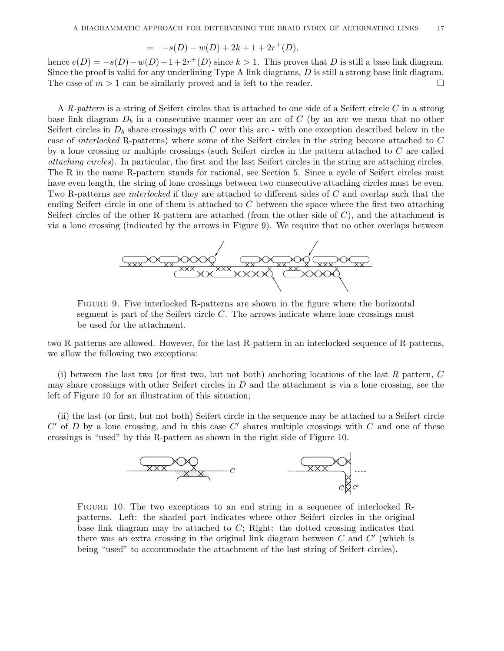$$
= -s(D) - w(D) + 2k + 1 + 2r^{+}(D),
$$

hence  $e(D) = -s(D) - w(D) + 1 + 2r^+(D)$  since  $k > 1$ . This proves that D is still a base link diagram. Since the proof is valid for any underlining Type A link diagrams, D is still a strong base link diagram. The case of  $m > 1$  can be similarly proved and is left to the reader.

A R-pattern is a string of Seifert circles that is attached to one side of a Seifert circle C in a strong base link diagram  $D_b$  in a consecutive manner over an arc of C (by an arc we mean that no other Seifert circles in  $D_b$  share crossings with C over this arc - with one exception described below in the case of interlocked R-patterns) where some of the Seifert circles in the string become attached to C by a lone crossing or multiple crossings (such Seifert circles in the pattern attached to C are called attaching circles). In particular, the first and the last Seifert circles in the string are attaching circles. The R in the name R-pattern stands for rational, see Section 5. Since a cycle of Seifert circles must have even length, the string of lone crossings between two consecutive attaching circles must be even. Two R-patterns are *interlocked* if they are attached to different sides of C and overlap such that the ending Seifert circle in one of them is attached to C between the space where the first two attaching Seifert circles of the other R-pattern are attached (from the other side of  $C$ ), and the attachment is via a lone crossing (indicated by the arrows in Figure 9). We require that no other overlaps between



Figure 9. Five interlocked R-patterns are shown in the figure where the horizontal segment is part of the Seifert circle  $C$ . The arrows indicate where lone crossings must be used for the attachment.

two R-patterns are allowed. However, for the last R-pattern in an interlocked sequence of R-patterns, we allow the following two exceptions:

(i) between the last two (or first two, but not both) anchoring locations of the last  $R$  pattern,  $C$ may share crossings with other Seifert circles in  $D$  and the attachment is via a lone crossing, see the left of Figure 10 for an illustration of this situation;

(ii) the last (or first, but not both) Seifert circle in the sequence may be attached to a Seifert circle  $C'$  of D by a lone crossing, and in this case  $C'$  shares multiple crossings with C and one of these crossings is "used" by this R-pattern as shown in the right side of Figure 10.



FIGURE 10. The two exceptions to an end string in a sequence of interlocked Rpatterns. Left: the shaded part indicates where other Seifert circles in the original base link diagram may be attached to  $C$ ; Right: the dotted crossing indicates that there was an extra crossing in the original link diagram between  $C$  and  $C'$  (which is being "used" to accommodate the attachment of the last string of Seifert circles).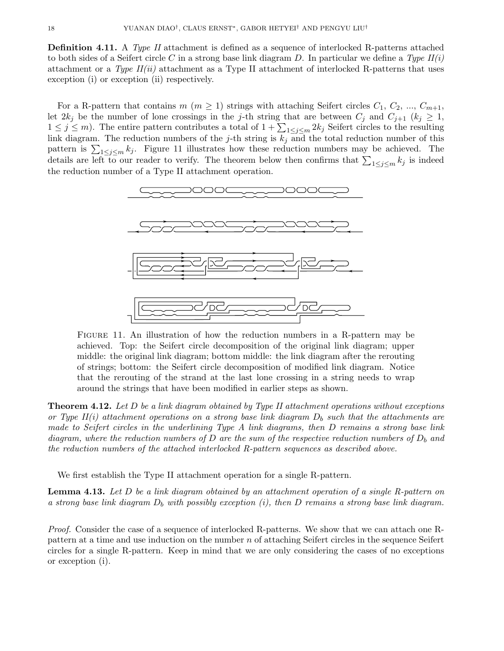**Definition 4.11.** A Type II attachment is defined as a sequence of interlocked R-patterns attached to both sides of a Seifert circle C in a strong base link diagram D. In particular we define a Type  $II(i)$ attachment or a Type  $II(ii)$  attachment as a Type II attachment of interlocked R-patterns that uses exception (i) or exception (ii) respectively.

For a R-pattern that contains  $m (m \ge 1)$  strings with attaching Seifert circles  $C_1, C_2, ..., C_{m+1}$ , let  $2k_j$  be the number of lone crossings in the j-th string that are between  $C_j$  and  $C_{j+1}$   $(k_j \geq 1,$  $1 \leq j \leq m$ ). The entire pattern contributes a total of  $1 + \sum_{1 \leq j \leq m} 2k_j$  Seifert circles to the resulting link diagram. The reduction numbers of the j-th string is  $k_j$  and the total reduction number of this pattern is  $\sum_{1 \leq j \leq m} k_j$ . Figure 11 illustrates how these reduction numbers may be achieved. The details are left to our reader to verify. The theorem below then confirms that  $\sum_{1 \leq j \leq m} k_j$  is indeed the reduction number of a Type II attachment operation.



Figure 11. An illustration of how the reduction numbers in a R-pattern may be achieved. Top: the Seifert circle decomposition of the original link diagram; upper middle: the original link diagram; bottom middle: the link diagram after the rerouting of strings; bottom: the Seifert circle decomposition of modified link diagram. Notice that the rerouting of the strand at the last lone crossing in a string needs to wrap around the strings that have been modified in earlier steps as shown.

**Theorem 4.12.** Let  $D$  be a link diagram obtained by Type II attachment operations without exceptions or Type II(i) attachment operations on a strong base link diagram  $D<sub>b</sub>$  such that the attachments are made to Seifert circles in the underlining Type A link diagrams, then D remains a strong base link diagram, where the reduction numbers of D are the sum of the respective reduction numbers of  $D_b$  and the reduction numbers of the attached interlocked R-pattern sequences as described above.

We first establish the Type II attachment operation for a single R-pattern.

**Lemma 4.13.** Let D be a link diagram obtained by an attachment operation of a single R-pattern on a strong base link diagram  $D_b$  with possibly exception (i), then D remains a strong base link diagram.

Proof. Consider the case of a sequence of interlocked R-patterns. We show that we can attach one Rpattern at a time and use induction on the number  $n$  of attaching Seifert circles in the sequence Seifert circles for a single R-pattern. Keep in mind that we are only considering the cases of no exceptions or exception (i).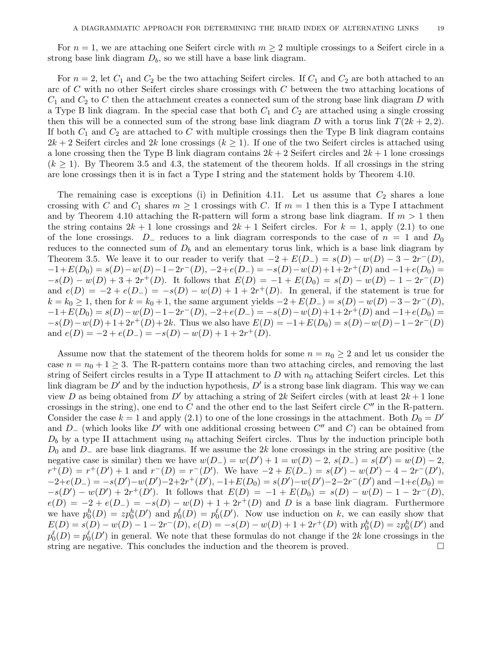For  $n = 1$ , we are attaching one Seifert circle with  $m \geq 2$  multiple crossings to a Seifert circle in a strong base link diagram  $D_b$ , so we still have a base link diagram.

For  $n = 2$ , let  $C_1$  and  $C_2$  be the two attaching Seifert circles. If  $C_1$  and  $C_2$  are both attached to an arc of C with no other Seifert circles share crossings with C between the two attaching locations of  $C_1$  and  $C_2$  to C then the attachment creates a connected sum of the strong base link diagram D with a Type B link diagram. In the special case that both  $C_1$  and  $C_2$  are attached using a single crossing then this will be a connected sum of the strong base link diagram D with a torus link  $T(2k + 2, 2)$ . If both  $C_1$  and  $C_2$  are attached to C with multiple crossings then the Type B link diagram contains  $2k + 2$  Seifert circles and  $2k$  lone crossings  $(k \geq 1)$ . If one of the two Seifert circles is attached using a lone crossing then the Type B link diagram contains  $2k + 2$  Seifert circles and  $2k + 1$  lone crossings  $(k \geq 1)$ . By Theorem 3.5 and 4.3, the statement of the theorem holds. If all crossings in the string are lone crossings then it is in fact a Type I string and the statement holds by Theorem 4.10.

The remaining case is exceptions (i) in Definition 4.11. Let us assume that  $C_2$  shares a lone crossing with C and  $C_1$  shares  $m \geq 1$  crossings with C. If  $m = 1$  then this is a Type I attachment and by Theorem 4.10 attaching the R-pattern will form a strong base link diagram. If  $m > 1$  then the string contains  $2k + 1$  lone crossings and  $2k + 1$  Seifert circles. For  $k = 1$ , apply (2.1) to one of the lone crossings.  $D_$ – reduces to a link diagram corresponds to the case of  $n = 1$  and  $D_0$ reduces to the connected sum of  $D<sub>b</sub>$  and an elementary torus link, which is a base link diagram by Theorem 3.5. We leave it to our reader to verify that  $-2 + E(D) = s(D) - w(D) - 3 - 2r^{-}(D)$ ,  $-1+E(D_0) = s(D) - w(D) - 1 - 2r^{-}(D), -2 + e(D_{-}) = -s(D) - w(D) + 1 + 2r^{+}(D)$  and  $-1+e(D_0) =$  $-s(D) - w(D) + 3 + 2r^+(D)$ . It follows that  $E(D) = -1 + E(D_0) = s(D) - w(D) - 1 - 2r^-(D)$ and  $e(D) = -2 + e(D) = -s(D) - w(D) + 1 + 2r^+(D)$ . In general, if the statement is true for  $k = k_0 \ge 1$ , then for  $k = k_0 + 1$ , the same argument yields  $-2 + E(D_{-}) = s(D) - w(D) - 3 - 2r^{-}(D)$ ,  $-1+E(D_0) = s(D) - w(D) - 1 - 2r^{-}(D), -2 + e(D_{-}) = -s(D) - w(D) + 1 + 2r^{+}(D)$  and  $-1+e(D_0) =$  $-s(D)-w(D)+1+2r^+(D)+2k$ . Thus we also have  $E(D)=-1+E(D_0)=s(D)-w(D)-1-2r^-(D)$ and  $e(D) = -2 + e(D_{-}) = -s(D) - w(D) + 1 + 2r^{+}(D)$ .

Assume now that the statement of the theorem holds for some  $n = n_0 \geq 2$  and let us consider the case  $n = n_0 + 1 \geq 3$ . The R-pattern contains more than two attaching circles, and removing the last string of Seifert circles results in a Type II attachment to D with  $n_0$  attaching Seifert circles. Let this link diagram be  $D'$  and by the induction hypothesis,  $D'$  is a strong base link diagram. This way we can view D as being obtained from D' by attaching a string of 2k Seifert circles (with at least  $2k+1$  lone crossings in the string), one end to  $C$  and the other end to the last Seifert circle  $C''$  in the R-pattern. Consider the case  $k = 1$  and apply (2.1) to one of the lone crossings in the attachment. Both  $D_0 = D'$ and  $D_{-}$  (which looks like  $D'$  with one additional crossing between  $C''$  and  $C$ ) can be obtained from  $D_b$  by a type II attachment using  $n_0$  attaching Seifert circles. Thus by the induction principle both  $D_0$  and  $D_-\$  are base link diagrams. If we assume the 2k lone crossings in the string are positive (the negative case is similar) then we have  $w(D) - w(D') + 1 = w(D) - 2$ ,  $s(D) - s(D') = w(D) - 2$ ,  $r^+(D) = r^+(D') + 1$  and  $r^-(D) = r^-(D')$ . We have  $-2 + E(D_-) = s(D') - w(D') - 4 - 2r^-(D')$ ,  $-2+e(D) = -s(D') - w(D') - 2 + 2r^+(D'), -1 + E(D_0) = s(D') - w(D') - 2 - 2r^-(D')$  and  $-1 + e(D_0) =$  $-s(D') - w(D') + 2r^+(D')$ . It follows that  $E(D) = -1 + E(D_0) = s(D) - w(D) - 1 - 2r^-(D)$ ,  $e(D) = -2 + e(D) = -s(D) - w(D) + 1 + 2r^+(D)$  and D is a base link diagram. Furthermore we have  $p_0^h(D) = z p_0^h(D')$  and  $p_0^{\ell}(D) = p_0^{\ell}(D')$ . Now use induction on k, we can easily show that  $E(D) = s(D) - w(D) - 1 - 2r^{-}(D), e(D) = -s(D) - w(D) + 1 + 2r^{+}(D)$  with  $p_0^h(D) = zp_0^h(D')$  and  $p_0^{\ell}(D) = p_0^{\ell}(D')$  in general. We note that these formulas do not change if the 2k lone crossings in the string are negative. This concludes the induction and the theorem is proved.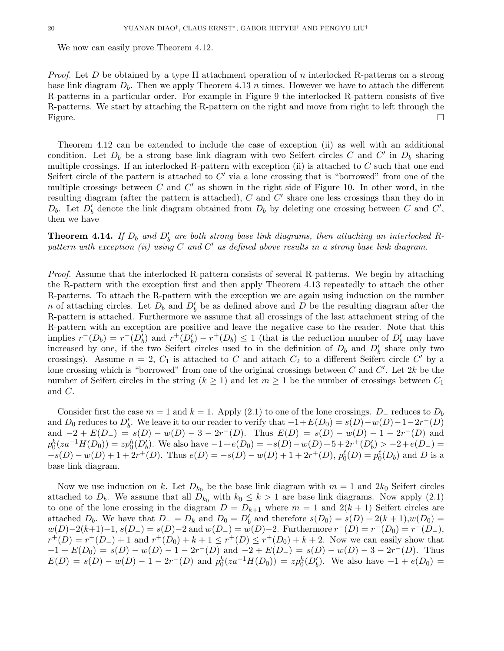We now can easily prove Theorem 4.12.

*Proof.* Let D be obtained by a type II attachment operation of n interlocked R-patterns on a strong base link diagram  $D_b$ . Then we apply Theorem 4.13 n times. However we have to attach the different R-patterns in a particular order. For example in Figure 9 the interlocked R-pattern consists of five R-patterns. We start by attaching the R-pattern on the right and move from right to left through the Figure.

Theorem 4.12 can be extended to include the case of exception (ii) as well with an additional condition. Let  $D_b$  be a strong base link diagram with two Seifert circles C and C' in  $D_b$  sharing multiple crossings. If an interlocked R-pattern with exception (ii) is attached to  $C$  such that one end Seifert circle of the pattern is attached to  $C'$  via a lone crossing that is "borrowed" from one of the multiple crossings between  $C$  and  $C'$  as shown in the right side of Figure 10. In other word, in the resulting diagram (after the pattern is attached),  $C$  and  $C'$  share one less crossings than they do in  $D_b$ . Let  $D'_b$  denote the link diagram obtained from  $D_b$  by deleting one crossing between C and C', then we have

**Theorem 4.14.** If  $D_b$  and  $D'_b$  are both strong base link diagrams, then attaching an interlocked Rpattern with exception (ii) using C and C' as defined above results in a strong base link diagram.

Proof. Assume that the interlocked R-pattern consists of several R-patterns. We begin by attaching the R-pattern with the exception first and then apply Theorem 4.13 repeatedly to attach the other R-patterns. To attach the R-pattern with the exception we are again using induction on the number n of attaching circles. Let  $D_b$  and  $D'_b$  be as defined above and D be the resulting diagram after the R-pattern is attached. Furthermore we assume that all crossings of the last attachment string of the R-pattern with an exception are positive and leave the negative case to the reader. Note that this implies  $r^-(D_b) = r^-(D'_b)$  and  $r^+(D'_b) - r^+(D_b) \le 1$  (that is the reduction number of  $D'_b$  may have increased by one, if the two Seifert circles used to in the definition of  $D_b$  and  $D'_b$  share only two crossings). Assume  $n = 2$ ,  $C_1$  is attached to C and attach  $C_2$  to a different Seifert circle C' by a lone crossing which is "borrowed" from one of the original crossings between  $C$  and  $C'$ . Let  $2k$  be the number of Seifert circles in the string  $(k \geq 1)$  and let  $m \geq 1$  be the number of crossings between  $C_1$ and C.

Consider first the case  $m = 1$  and  $k = 1$ . Apply (2.1) to one of the lone crossings. D<sub>-</sub> reduces to  $D_b$ and D<sub>0</sub> reduces to D'<sub>b</sub>. We leave it to our reader to verify that  $-1+E(D_0) = s(D)-w(D)-1-2r^{-}(D)$ and  $-2 + E(D_{-}) = s(D) - w(D) - 3 - 2r^{-}(D)$ . Thus  $E(D) = s(D) - w(D) - 1 - 2r^{-}(D)$  and  $p_0^h(za^{-1}H(D_0)) = zp_0^h(D'_b)$ . We also have  $-1 + e(D_0) = -s(D) - w(D) + 5 + 2r^+(D'_b) > -2 + e(D_-) =$  $-s(D) - w(D) + 1 + 2r^+(D)$ . Thus  $e(D) = -s(D) - w(D) + 1 + 2r^+(D)$ ,  $p_0^{\ell}(D) = p_0^{\ell}(D_b)$  and D is a base link diagram.

Now we use induction on k. Let  $D_{k_0}$  be the base link diagram with  $m = 1$  and  $2k_0$  Seifert circles attached to  $D_b$ . We assume that all  $D_{k_0}$  with  $k_0 \leq k > 1$  are base link diagrams. Now apply (2.1) to one of the lone crossing in the diagram  $D = D_{k+1}$  where  $m = 1$  and  $2(k+1)$  Seifert circles are attached  $D_b$ . We have that  $D_-=D_k$  and  $D_0=D'_b$  and therefore  $s(D_0)=s(D)-2(k+1),w(D_0)=s(D)$  $w(D)-2(k+1)-1, s(D) = s(D)-2 \text{ and } w(D) = w(D)-2.$  Furthermore  $r^-(D) = r^-(D_0) = r^-(D_-)$ ,  $r^+(D) = r^+(D_-) + 1$  and  $r^+(D_0) + k + 1 \le r^+(D) \le r^+(D_0) + k + 2$ . Now we can easily show that  $-1 + E(D_0) = s(D) - w(D) - 1 - 2r^{-1}(D)$  and  $-2 + E(D_{-}) = s(D) - w(D) - 3 - 2r^{-1}(D)$ . Thus  $E(D) = s(D) - w(D) - 1 - 2r^{-}(D)$  and  $p_0^h(za^{-1}H(D_0)) = zp_0^h(D'_b)$ . We also have  $-1 + e(D_0) =$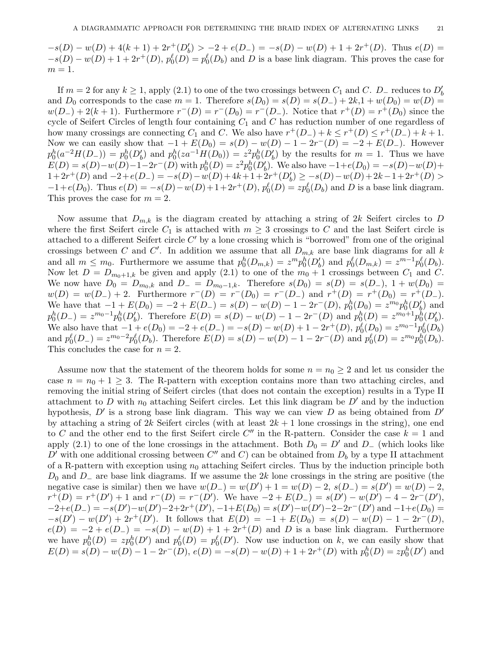$-s(D) - w(D) + 4(k+1) + 2r^+(D'_b) > -2 + e(D_-) = -s(D) - w(D) + 1 + 2r^+(D).$  Thus  $e(D) =$  $-s(D) - w(D) + 1 + 2r^+(D)$ ,  $p_0^{\ell}(D) = p_0^{\ell}(D_b)$  and D is a base link diagram. This proves the case for  $m=1$ .

If  $m = 2$  for any  $k \ge 1$ , apply  $(2.1)$  to one of the two crossings between  $C_1$  and  $C$ .  $D_-\$  reduces to  $D'_b$ and  $D_0$  corresponds to the case  $m = 1$ . Therefore  $s(D_0) = s(D) = s(D_-) + 2k, 1 + w(D_0) = w(D) =$  $w(D_{-}) + 2(k+1)$ . Furthermore  $r^{-}(D) = r^{-}(D_{0}) = r^{-}(D_{-})$ . Notice that  $r^{+}(D) = r^{+}(D_{0})$  since the cycle of Seifert Circles of length four containing  $C_1$  and  $C$  has reduction number of one regardless of how many crossings are connecting  $C_1$  and C. We also have  $r^+(D_-) + k \leq r^+(D_-) \leq r^+(D_-) + k + 1$ . Now we can easily show that  $-1 + E(D_0) = s(D) - w(D) - 1 - 2r^{-}(D) = -2 + E(D_{-})$ . However  $p_0^h(a^{-2}H(D_-)) = p_0^h(D'_b)$  and  $p_0^h(za^{-1}H(D_0)) = z^2p_0^h(D'_b)$  by the results for  $m = 1$ . Thus we have  $E(D) = s(D) - w(D) - 1 - 2r^{-1}(D)$  with  $p_0^h(D) = z^2 p_0^h(D'_b)$ . We also have  $-1 + e(D_0) = -s(D) - w(D) +$  $1+2r^+(D)$  and  $-2+e(D) = -s(D) - w(D) + 4k+1+2r^+(D'_b) \geq -s(D) - w(D) + 2k-1+2r^+(D) >$  $-1 + e(D_0)$ . Thus  $e(D) = -s(D) - w(D) + 1 + 2r^+(D)$ ,  $p_0^{\ell}(D) = z p_0^{\ell}(D_b)$  and D is a base link diagram. This proves the case for  $m = 2$ .

Now assume that  $D_{m,k}$  is the diagram created by attaching a string of 2k Seifert circles to D where the first Seifert circle  $C_1$  is attached with  $m \geq 3$  crossings to C and the last Seifert circle is attached to a different Seifert circle  $C'$  by a lone crossing which is "borrowed" from one of the original crossings between C and C'. In addition we assume that all  $D_{m,k}$  are base link diagrams for all k and all  $m \leq m_0$ . Furthermore we assume that  $p_0^h(D_{m,k}) = z^m p_0^h(D'_b)$  and  $p_0^{\ell}(D_{m,k}) = z^{m-1} p_0^{\ell}(D_b)$ . Now let  $D = D_{m_0+1,k}$  be given and apply (2.1) to one of the  $m_0 + 1$  crossings between  $C_1$  and  $C$ . We now have  $D_0 = D_{m_0,k}$  and  $D_- = D_{m_0-1,k}$ . Therefore  $s(D_0) = s(D) = s(D_-), 1 + w(D_0) =$  $w(D) = w(D_{-}) + 2$ . Furthermore  $r^{-}(D) = r^{-}(D_{0}) = r^{-}(D_{-})$  and  $r^{+}(D) = r^{+}(D_{0}) = r^{+}(D_{-})$ . We have that  $-1 + E(D_0) = -2 + E(D_-) = s(D) - w(D) - 1 - 2r^{-}(D)$ ,  $p_0^h(D_0) = z^{m_0} p_0^h(D_0')$  and  $p_0^h(D_-) = z^{m_0-1} p_0^h(D'_b)$ . Therefore  $E(D) = s(D) - w(D) - 1 - 2r^{-}(D)$  and  $p_0^h(D) = z^{m_0+1} p_0^h(D'_b)$ . We also have that  $-1 + e(D_0) = -2 + e(D_-) = -s(D) - w(D) + 1 - 2r^+(D)$ ,  $p_0^{\ell}(D_0) = z^{m_0-1}p_0^{\ell}(D_0)$ and  $p_0^{\ell}(D_-) = z^{m_0-2} p_0^{\ell}(D_b)$ . Therefore  $E(D) = s(D) - w(D) - 1 - 2r^{-}(D)$  and  $p_0^{\ell}(D) = z^{m_0} p_0^{\ell}(D_b)$ . This concludes the case for  $n = 2$ .

Assume now that the statement of the theorem holds for some  $n = n_0 \geq 2$  and let us consider the case  $n = n_0 + 1 \geq 3$ . The R-pattern with exception contains more than two attaching circles, and removing the initial string of Seifert circles (that does not contain the exception) results in a Type II attachment to D with  $n_0$  attaching Seifert circles. Let this link diagram be D' and by the induction hypothesis,  $D'$  is a strong base link diagram. This way we can view D as being obtained from  $D'$ by attaching a string of 2k Seifert circles (with at least  $2k + 1$  lone crossings in the string), one end to C and the other end to the first Seifert circle C'' in the R-pattern. Consider the case  $k = 1$  and apply (2.1) to one of the lone crossings in the attachment. Both  $D_0 = D'$  and  $D_-\$  (which looks like  $D'$  with one additional crossing between  $C''$  and  $C$ ) can be obtained from  $D_b$  by a type II attachment of a R-pattern with exception using  $n_0$  attaching Seifert circles. Thus by the induction principle both  $D_0$  and  $D_-\$  are base link diagrams. If we assume the 2k lone crossings in the string are positive (the negative case is similar) then we have  $w(D) - w(D') + 1 = w(D) - 2$ ,  $s(D) - s(D') = w(D) - 2$ ,  $r^+(D) = r^+(D') + 1$  and  $r^-(D) = r^-(D')$ . We have  $-2 + E(D_-) = s(D') - w(D') - 4 - 2r^-(D')$ ,  $-2+e(D) = -s(D') - w(D') - 2 + 2r^+(D'), -1 + E(D_0) = s(D') - w(D') - 2 - 2r^-(D')$  and  $-1 + e(D_0) =$  $-s(D') - w(D') + 2r^+(D')$ . It follows that  $E(D) = -1 + E(D_0) = s(D) - w(D) - 1 - 2r^-(D)$ ,  $e(D) = -2 + e(D) = -s(D) - w(D) + 1 + 2r^+(D)$  and D is a base link diagram. Furthermore we have  $p_0^h(D) = z p_0^h(D')$  and  $p_0^{\ell}(D) = p_0^{\ell}(D')$ . Now use induction on k, we can easily show that  $E(D) = s(D) - w(D) - 1 - 2r^{-}(D), e(D) = -s(D) - w(D) + 1 + 2r^{+}(D)$  with  $p_0^h(D) = zp_0^h(D')$  and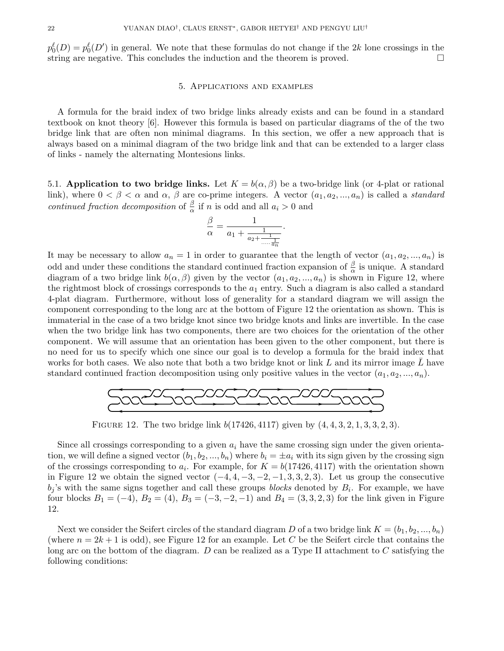$p_0^{\ell}(D) = p_0^{\ell}(D')$  in general. We note that these formulas do not change if the 2k lone crossings in the string are negative. This concludes the induction and the theorem is proved.

#### 5. Applications and examples

A formula for the braid index of two bridge links already exists and can be found in a standard textbook on knot theory [6]. However this formula is based on particular diagrams of the of the two bridge link that are often non minimal diagrams. In this section, we offer a new approach that is always based on a minimal diagram of the two bridge link and that can be extended to a larger class of links - namely the alternating Montesions links.

5.1. Application to two bridge links. Let  $K = b(\alpha, \beta)$  be a two-bridge link (or 4-plat or rational link), where  $0 < \beta < \alpha$  and  $\alpha$ ,  $\beta$  are co-prime integers. A vector  $(a_1, a_2, ..., a_n)$  is called a *standard* continued fraction decomposition of  $\frac{\beta}{\alpha}$  if n is odd and all  $a_i > 0$  and

$$
\frac{\beta}{\alpha}=\frac{1}{a_1+\frac{1}{a_2+\frac{1}{....\frac{1}{a_n}}}}.
$$

It may be necessary to allow  $a_n = 1$  in order to guarantee that the length of vector  $(a_1, a_2, ..., a_n)$  is odd and under these conditions the standard continued fraction expansion of  $\frac{\beta}{\alpha}$  is unique. A standard diagram of a two bridge link  $b(\alpha, \beta)$  given by the vector  $(a_1, a_2, ..., a_n)$  is shown in Figure 12, where the rightmost block of crossings corresponds to the  $a_1$  entry. Such a diagram is also called a standard 4-plat diagram. Furthermore, without loss of generality for a standard diagram we will assign the component corresponding to the long arc at the bottom of Figure 12 the orientation as shown. This is immaterial in the case of a two bridge knot since two bridge knots and links are invertible. In the case when the two bridge link has two components, there are two choices for the orientation of the other component. We will assume that an orientation has been given to the other component, but there is no need for us to specify which one since our goal is to develop a formula for the braid index that works for both cases. We also note that both a two bridge knot or link  $L$  and its mirror image  $L$  have standard continued fraction decomposition using only positive values in the vector  $(a_1, a_2, ..., a_n)$ .



FIGURE 12. The two bridge link  $b(17426, 4117)$  given by  $(4, 4, 3, 2, 1, 3, 3, 2, 3)$ .

Since all crossings corresponding to a given  $a_i$  have the same crossing sign under the given orientation, we will define a signed vector  $(b_1, b_2, ..., b_n)$  where  $b_i = \pm a_i$  with its sign given by the crossing sign of the crossings corresponding to  $a_i$ . For example, for  $K = b(17426, 4117)$  with the orientation shown in Figure 12 we obtain the signed vector  $(-4, 4, -3, -2, -1, 3, 3, 2, 3)$ . Let us group the consecutive  $b_j$ 's with the same signs together and call these groups *blocks* denoted by  $B_i$ . For example, we have four blocks  $B_1 = (-4)$ ,  $B_2 = (4)$ ,  $B_3 = (-3, -2, -1)$  and  $B_4 = (3, 3, 2, 3)$  for the link given in Figure 12.

Next we consider the Seifert circles of the standard diagram D of a two bridge link  $K = (b_1, b_2, ..., b_n)$ (where  $n = 2k + 1$  is odd), see Figure 12 for an example. Let C be the Seifert circle that contains the long arc on the bottom of the diagram.  $D$  can be realized as a Type II attachment to  $C$  satisfying the following conditions: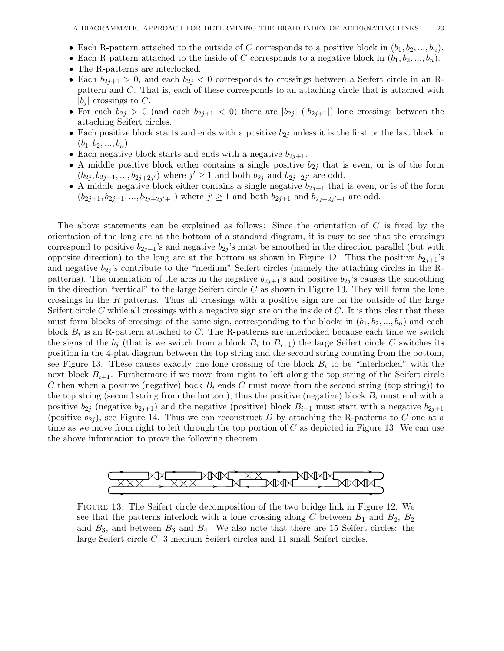- Each R-pattern attached to the outside of C corresponds to a positive block in  $(b_1, b_2, ..., b_n)$ .
- Each R-pattern attached to the inside of C corresponds to a negative block in  $(b_1, b_2, ..., b_n)$ .
- The R-patterns are interlocked.
- Each  $b_{2j+1} > 0$ , and each  $b_{2j} < 0$  corresponds to crossings between a Seifert circle in an Rpattern and C. That is, each of these corresponds to an attaching circle that is attached with  $|b_i|$  crossings to C.
- For each  $b_{2j} > 0$  (and each  $b_{2j+1} < 0$ ) there are  $|b_{2j}|$  ( $|b_{2j+1}|$ ) lone crossings between the attaching Seifert circles.
- Each positive block starts and ends with a positive  $b_{2j}$  unless it is the first or the last block in  $(b_1, b_2, ..., b_n).$
- Each negative block starts and ends with a negative  $b_{2j+1}$ .
- A middle positive block either contains a single positive  $b_{2j}$  that is even, or is of the form  $(b_{2j}, b_{2j+1}, ..., b_{2j+2j'})$  where  $j' \ge 1$  and both  $b_{2j}$  and  $b_{2j+2j'}$  are odd.
- A middle negative block either contains a single negative  $b_{2j+1}$  that is even, or is of the form  $(b_{2j+1}, b_{2j+1}, ..., b_{2j+2j'+1})$  where  $j' \ge 1$  and both  $b_{2j+1}$  and  $b_{2j+2j'+1}$  are odd.

The above statements can be explained as follows: Since the orientation of  $C$  is fixed by the orientation of the long arc at the bottom of a standard diagram, it is easy to see that the crossings correspond to positive  $b_{2j+1}$ 's and negative  $b_{2j}$ 's must be smoothed in the direction parallel (but with opposite direction) to the long arc at the bottom as shown in Figure 12. Thus the positive  $b_{2i+1}$ 's and negative  $b_{2j}$ 's contribute to the "medium" Seifert circles (namely the attaching circles in the Rpatterns). The orientation of the arcs in the negative  $b_{2j+1}$ 's and positive  $b_{2j}$ 's causes the smoothing in the direction "vertical" to the large Seifert circle  $C$  as shown in Figure 13. They will form the lone crossings in the  $R$  patterns. Thus all crossings with a positive sign are on the outside of the large Seifert circle C while all crossings with a negative sign are on the inside of  $C$ . It is thus clear that these must form blocks of crossings of the same sign, corresponding to the blocks in  $(b_1, b_2, ..., b_n)$  and each block  $B_i$  is an R-pattern attached to C. The R-patterns are interlocked because each time we switch the signs of the  $b_j$  (that is we switch from a block  $B_i$  to  $B_{i+1}$ ) the large Seifert circle C switches its position in the 4-plat diagram between the top string and the second string counting from the bottom, see Figure 13. These causes exactly one lone crossing of the block  $B_i$  to be "interlocked" with the next block  $B_{i+1}$ . Furthermore if we move from right to left along the top string of the Seifert circle C then when a positive (negative) bock  $B_i$  ends C must move from the second string (top string)) to the top string (second string from the bottom), thus the positive (negative) block  $B_i$  must end with a positive  $b_{2i}$  (negative  $b_{2i+1}$ ) and the negative (positive) block  $B_{i+1}$  must start with a negative  $b_{2i+1}$ (positive  $b_{2j}$ ), see Figure 14. Thus we can reconstruct D by attaching the R-patterns to C one at a time as we move from right to left through the top portion of  $C$  as depicted in Figure 13. We can use the above information to prove the following theorem.



Figure 13. The Seifert circle decomposition of the two bridge link in Figure 12. We see that the patterns interlock with a lone crossing along C between  $B_1$  and  $B_2$ ,  $B_2$ and  $B_3$ , and between  $B_3$  and  $B_4$ . We also note that there are 15 Seifert circles: the large Seifert circle C, 3 medium Seifert circles and 11 small Seifert circles.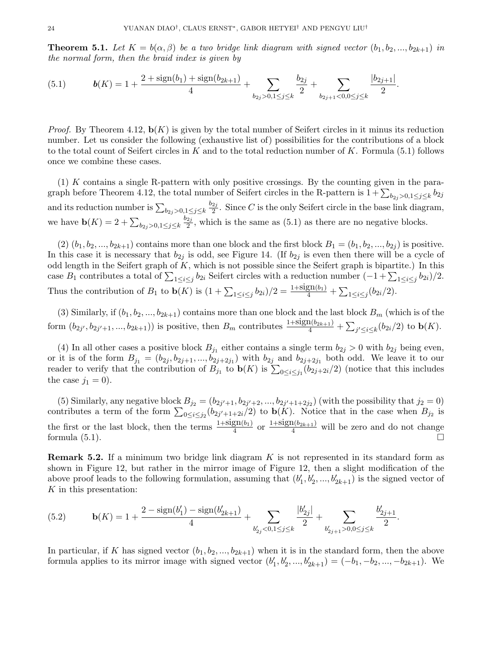**Theorem 5.1.** Let  $K = b(\alpha, \beta)$  be a two bridge link diagram with signed vector  $(b_1, b_2, ..., b_{2k+1})$  in the normal form, then the braid index is given by

.

(5.1) 
$$
\mathbf{b}(K) = 1 + \frac{2 + \text{sign}(b_1) + \text{sign}(b_{2k+1})}{4} + \sum_{b_{2j} > 0, 1 \leq j \leq k} \frac{b_{2j}}{2} + \sum_{b_{2j+1} < 0, 0 \leq j \leq k} \frac{|b_{2j+1}|}{2}
$$

*Proof.* By Theorem 4.12,  $\mathbf{b}(K)$  is given by the total number of Seifert circles in it minus its reduction number. Let us consider the following (exhaustive list of) possibilities for the contributions of a block to the total count of Seifert circles in K and to the total reduction number of K. Formula (5.1) follows once we combine these cases.

 $(1)$  K contains a single R-pattern with only positive crossings. By the counting given in the paragraph before Theorem 4.12, the total number of Seifert circles in the R-pattern is  $1 + \sum_{b_{2j} > 0,1 \leq j \leq k} b_{2j}$ and its reduction number is  $\sum_{b_{2j}>0,1\leq j\leq k}$  $b_{2j}$  $\frac{2j}{2}$ . Since C is the only Seifert circle in the base link diagram, we have  $\mathbf{b}(K) = 2 + \sum_{b_{2j} > 0, 1 \leq j \leq k}$  $b_{2j}$  $\frac{2j}{2}$ , which is the same as  $(5.1)$  as there are no negative blocks.

(2)  $(b_1, b_2, ..., b_{2k+1})$  contains more than one block and the first block  $B_1 = (b_1, b_2, ..., b_{2j})$  is positive. In this case it is necessary that  $b_{2j}$  is odd, see Figure 14. (If  $b_{2j}$  is even then there will be a cycle of odd length in the Seifert graph of  $K$ , which is not possible since the Seifert graph is bipartite.) In this case  $B_1$  contributes a total of  $\sum_{1 \leq i \leq j} b_{2i}$  Seifert circles with a reduction number  $(-1 + \sum_{1 \leq i \leq j} b_{2i})/2$ . Thus the contribution of  $B_1$  to  $\mathbf{b}(K)$  is  $(1 + \sum_{1 \leq i \leq j} b_{2i})/2 = \frac{1 + sign(b_1)}{4} + \sum_{1 \leq i \leq j} (b_{2i}/2)$ .

(3) Similarly, if  $(b_1, b_2, ..., b_{2k+1})$  contains more than one block and the last block  $B_m$  (which is of the form  $(b_{2j'}, b_{2j'+1}, ..., b_{2k+1})$  is positive, then  $B_m$  contributes  $\frac{1+\text{sign}(b_{2k+1})}{4} + \sum_{j' \leq i \leq k} (b_{2i}/2)$  to  $\mathbf{b}(K)$ .

(4) In all other cases a positive block  $B_{j_1}$  either contains a single term  $b_{2j} > 0$  with  $b_{2j}$  being even, or it is of the form  $B_{j_1} = (b_{2j}, b_{2j+1}, ..., b_{2j+2j_1})$  with  $b_{2j}$  and  $b_{2j+2j_1}$  both odd. We leave it to our reader to verify that the contribution of  $B_{j_1}$  to  $\mathbf{b}(K)$  is  $\sum_{0 \leq i \leq j_1} (b_{2j+2i}/2)$  (notice that this includes the case  $j_1 = 0$ .

(5) Similarly, any negative block  $B_{j_2} = (b_{2j'+1}, b_{2j'+2}, ..., b_{2j'+1+2j_2})$  (with the possibility that  $j_2 = 0$ ) contributes a term of the form  $\sum_{0 \leq i \leq j_2} (b_{2j'+1+2i}/2)$  to  $\mathbf{b}(K)$ . Notice that in the case when  $B_{j_2}$  is the first or the last block, then the terms  $\frac{1+\text{sign}(b_1)}{4}$  or  $\frac{1+\text{sign}(b_{2k+1})}{4}$  will be zero and do not change formula  $(5.1)$ .

**Remark 5.2.** If a minimum two bridge link diagram K is not represented in its standard form as shown in Figure 12, but rather in the mirror image of Figure 12, then a slight modification of the above proof leads to the following formulation, assuming that  $(b'_1, b'_2, ..., b'_{2k+1})$  is the signed vector of K in this presentation:

(5.2) 
$$
\mathbf{b}(K) = 1 + \frac{2 - \text{sign}(b'_1) - \text{sign}(b'_{2k+1})}{4} + \sum_{b'_{2j} < 0, 1 \leq j \leq k} \frac{|b'_{2j}|}{2} + \sum_{b'_{2j+1} > 0, 0 \leq j \leq k} \frac{b'_{2j+1}}{2}.
$$

In particular, if K has signed vector  $(b_1, b_2, ..., b_{2k+1})$  when it is in the standard form, then the above formula applies to its mirror image with signed vector  $(b'_1, b'_2, ..., b'_{2k+1}) = (-b_1, -b_2, ..., -b_{2k+1})$ . We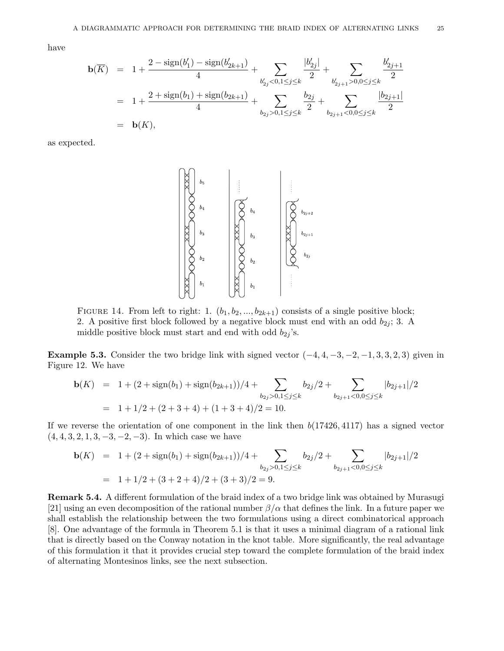have

$$
\mathbf{b}(\overline{K}) = 1 + \frac{2 - \text{sign}(b'_1) - \text{sign}(b'_{2k+1})}{4} + \sum_{b'_{2j} < 0, 1 \leq j \leq k} \frac{|b'_{2j}|}{2} + \sum_{b'_{2j+1} > 0, 0 \leq j \leq k} \frac{b'_{2j+1}}{2}
$$
\n
$$
= 1 + \frac{2 + \text{sign}(b_1) + \text{sign}(b_{2k+1})}{4} + \sum_{b_{2j} > 0, 1 \leq j \leq k} \frac{b_{2j}}{2} + \sum_{b_{2j+1} < 0, 0 \leq j \leq k} \frac{|b_{2j+1}|}{2}
$$
\n
$$
= \mathbf{b}(K),
$$

as expected.



FIGURE 14. From left to right: 1.  $(b_1, b_2, ..., b_{2k+1})$  consists of a single positive block; 2. A positive first block followed by a negative block must end with an odd  $b_{2i}$ ; 3. A middle positive block must start and end with odd  $b_{2i}$ 's.

Example 5.3. Consider the two bridge link with signed vector  $(-4, 4, -3, -2, -1, 3, 3, 2, 3)$  given in Figure 12. We have

$$
\mathbf{b}(K) = 1 + (2 + \text{sign}(b_1) + \text{sign}(b_{2k+1}))/4 + \sum_{b_{2j} > 0, 1 \le j \le k} b_{2j}/2 + \sum_{b_{2j+1} < 0, 0 \le j \le k} |b_{2j+1}|/2
$$
  
= 1 + 1/2 + (2 + 3 + 4) + (1 + 3 + 4)/2 = 10.

If we reverse the orientation of one component in the link then  $b(17426, 4117)$  has a signed vector  $(4, 4, 3, 2, 1, 3, -3, -2, -3)$ . In which case we have

$$
\mathbf{b}(K) = 1 + (2 + \text{sign}(b_1) + \text{sign}(b_{2k+1}))/4 + \sum_{b_{2j} > 0, 1 \le j \le k} b_{2j}/2 + \sum_{b_{2j+1} < 0, 0 \le j \le k} |b_{2j+1}|/2
$$
  
= 1 + 1/2 + (3 + 2 + 4)/2 + (3 + 3)/2 = 9.

Remark 5.4. A different formulation of the braid index of a two bridge link was obtained by Murasugi [21] using an even decomposition of the rational number  $\beta/\alpha$  that defines the link. In a future paper we shall establish the relationship between the two formulations using a direct combinatorical approach [8]. One advantage of the formula in Theorem 5.1 is that it uses a minimal diagram of a rational link that is directly based on the Conway notation in the knot table. More significantly, the real advantage of this formulation it that it provides crucial step toward the complete formulation of the braid index of alternating Montesinos links, see the next subsection.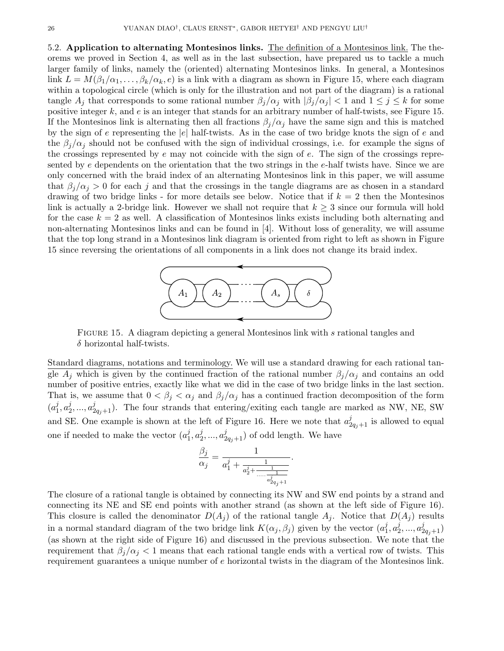5.2. Application to alternating Montesinos links. The definition of a Montesinos link. The theorems we proved in Section 4, as well as in the last subsection, have prepared us to tackle a much larger family of links, namely the (oriented) alternating Montesinos links. In general, a Montesinos link  $L = M(\beta_1/\alpha_1,\ldots,\beta_k/\alpha_k,e)$  is a link with a diagram as shown in Figure 15, where each diagram within a topological circle (which is only for the illustration and not part of the diagram) is a rational tangle  $A_j$  that corresponds to some rational number  $\beta_j/\alpha_j$  with  $|\beta_j/\alpha_j|$  < 1 and  $1 \leq j \leq k$  for some positive integer  $k$ , and  $e$  is an integer that stands for an arbitrary number of half-twists, see Figure 15. If the Montesinos link is alternating then all fractions  $\beta_i/\alpha_i$  have the same sign and this is matched by the sign of e representing the  $|e|$  half-twists. As in the case of two bridge knots the sign of e and the  $\beta_j/\alpha_j$  should not be confused with the sign of individual crossings, i.e. for example the signs of the crossings represented by  $e$  may not coincide with the sign of  $e$ . The sign of the crossings represented by e dependents on the orientation that the two strings in the e-half twists have. Since we are only concerned with the braid index of an alternating Montesinos link in this paper, we will assume that  $\beta_i/\alpha_i > 0$  for each j and that the crossings in the tangle diagrams are as chosen in a standard drawing of two bridge links - for more details see below. Notice that if  $k = 2$  then the Montesinos link is actually a 2-bridge link. However we shall not require that  $k \geq 3$  since our formula will hold for the case  $k = 2$  as well. A classification of Montesinos links exists including both alternating and non-alternating Montesinos links and can be found in [4]. Without loss of generality, we will assume that the top long strand in a Montesinos link diagram is oriented from right to left as shown in Figure 15 since reversing the orientations of all components in a link does not change its braid index.



FIGURE 15. A diagram depicting a general Montesinos link with s rational tangles and  $\delta$  horizontal half-twists.

Standard diagrams, notations and terminology. We will use a standard drawing for each rational tangle  $A_i$  which is given by the continued fraction of the rational number  $\beta_i/\alpha_i$  and contains an odd number of positive entries, exactly like what we did in the case of two bridge links in the last section. That is, we assume that  $0 < \beta_j < \alpha_j$  and  $\beta_j/\alpha_j$  has a continued fraction decomposition of the form  $(a_1^j$  $\frac{j}{1}, a_2^j$  $a_{2}^{j},...,a_{2q_{j}+1}^{j}$ ). The four strands that entering/exiting each tangle are marked as NW, NE, SW and SE. One example is shown at the left of Figure 16. Here we note that  $a_{2q_j+1}^j$  is allowed to equal one if needed to make the vector  $(a_1^j)$  $\frac{j}{1}, a_2^j$  $a_2^j, ..., a_{2q_j+1}^j$ ) of odd length. We have

$$
\frac{\beta_j}{\alpha_j} = \frac{1}{a_1^j + \frac{1}{a_2^j + \frac{1}{\dots + \frac{1}{a_{2q_j+1}^j}}}.
$$

The closure of a rational tangle is obtained by connecting its NW and SW end points by a strand and connecting its NE and SE end points with another strand (as shown at the left side of Figure 16). This closure is called the denominator  $D(A_j)$  of the rational tangle  $A_j$ . Notice that  $D(A_j)$  results in a normal standard diagram of the two bridge link  $K(\alpha_j, \beta_j)$  given by the vector  $(a_1^j)$  $\frac{j}{1}, a_2^j$  $a_2^j, ..., a_{2q_j+1}^j)$ (as shown at the right side of Figure 16) and discussed in the previous subsection. We note that the requirement that  $\beta_i/\alpha_i < 1$  means that each rational tangle ends with a vertical row of twists. This requirement guarantees a unique number of e horizontal twists in the diagram of the Montesinos link.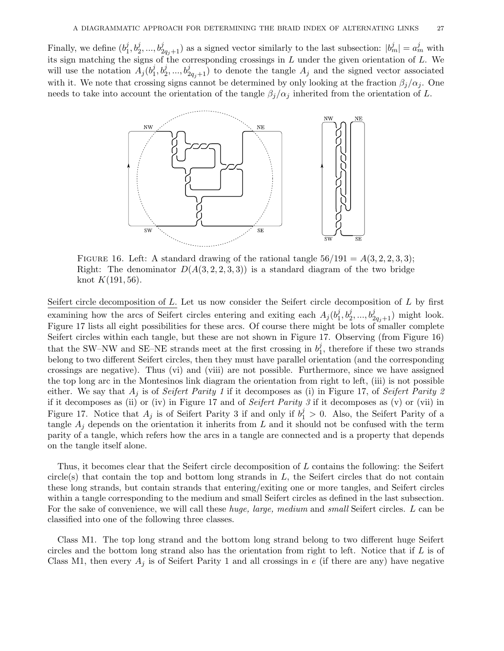Finally, we define  $(b_1^j)$  $\langle j_1, b_2^j, ..., b_{2q_j+1}^j \rangle$  as a signed vector similarly to the last subsection:  $|b_m^j| = a_m^j$  with its sign matching the signs of the corresponding crossings in  $L$  under the given orientation of  $L$ . We will use the notation  $\overline{A_j(b_1^j)}$  $\{(\mathbf{z}_1^j, \mathbf{b}_2^j, ..., \mathbf{b}_{2q_j+1}^j)\}$  to denote the tangle  $A_j$  and the signed vector associated with it. We note that crossing signs cannot be determined by only looking at the fraction  $\beta_i/\alpha_j$ . One needs to take into account the orientation of the tangle  $\beta_j/\alpha_j$  inherited from the orientation of L.



FIGURE 16. Left: A standard drawing of the rational tangle  $56/191 = A(3, 2, 2, 3, 3);$ Right: The denominator  $D(A(3, 2, 2, 3, 3))$  is a standard diagram of the two bridge knot  $K(191, 56)$ .

Seifert circle decomposition of  $L$ . Let us now consider the Seifert circle decomposition of  $L$  by first examining how the arcs of Seifert circles entering and exiting each  $A_j(b_1^j)$  $j_1, b_2^j, ..., b_{2q_j+1}^j$ ) might look. Figure 17 lists all eight possibilities for these arcs. Of course there might be lots of smaller complete Seifert circles within each tangle, but these are not shown in Figure 17. Observing (from Figure 16) that the SW–NW and SE–NE strands meet at the first crossing in  $b_1^j$  $\frac{1}{1}$ , therefore if these two strands belong to two different Seifert circles, then they must have parallel orientation (and the corresponding crossings are negative). Thus (vi) and (viii) are not possible. Furthermore, since we have assigned the top long arc in the Montesinos link diagram the orientation from right to left, (iii) is not possible either. We say that  $A_i$  is of *Seifert Parity 1* if it decomposes as (i) in Figure 17, of *Seifert Parity 2* if it decomposes as (ii) or (iv) in Figure 17 and of Seifert Parity 3 if it decomposes as (v) or (vii) in Figure 17. Notice that  $A_j$  is of Seifert Parity 3 if and only if  $b_1^j > 0$ . Also, the Seifert Parity of a tangle  $A_i$  depends on the orientation it inherits from L and it should not be confused with the term parity of a tangle, which refers how the arcs in a tangle are connected and is a property that depends on the tangle itself alone.

Thus, it becomes clear that the Seifert circle decomposition of L contains the following: the Seifert circle(s) that contain the top and bottom long strands in L, the Seifert circles that do not contain these long strands, but contain strands that entering/exiting one or more tangles, and Seifert circles within a tangle corresponding to the medium and small Seifert circles as defined in the last subsection. For the sake of convenience, we will call these huge, large, medium and small Seifert circles. L can be classified into one of the following three classes.

Class M1. The top long strand and the bottom long strand belong to two different huge Seifert circles and the bottom long strand also has the orientation from right to left. Notice that if  $L$  is of Class M1, then every  $A_j$  is of Seifert Parity 1 and all crossings in e (if there are any) have negative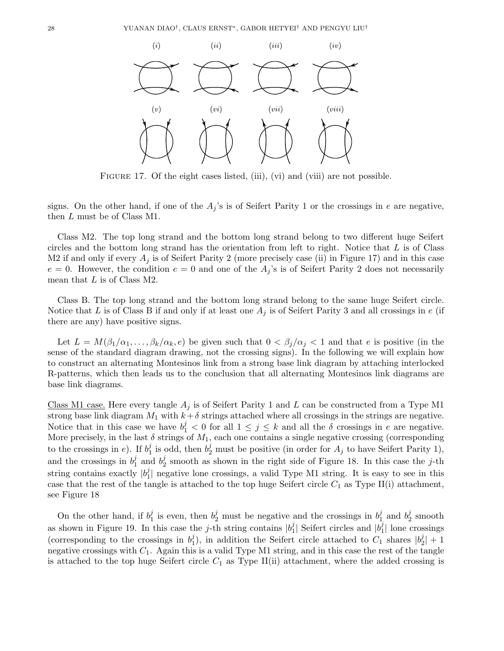

FIGURE 17. Of the eight cases listed, (iii), (vi) and (viii) are not possible.

signs. On the other hand, if one of the  $A<sub>j</sub>$ 's is of Seifert Parity 1 or the crossings in e are negative, then L must be of Class M1.

Class M2. The top long strand and the bottom long strand belong to two different huge Seifert circles and the bottom long strand has the orientation from left to right. Notice that  $L$  is of Class M2 if and only if every  $A_j$  is of Seifert Parity 2 (more precisely case (ii) in Figure 17) and in this case  $e = 0$ . However, the condition  $e = 0$  and one of the  $A_j$ 's is of Seifert Parity 2 does not necessarily mean that  $L$  is of Class M2.

Class B. The top long strand and the bottom long strand belong to the same huge Seifert circle. Notice that L is of Class B if and only if at least one  $A_j$  is of Seifert Parity 3 and all crossings in e (if there are any) have positive signs.

Let  $L = M(\beta_1/\alpha_1,\ldots,\beta_k/\alpha_k,e)$  be given such that  $0 < \beta_i/\alpha_i < 1$  and that e is positive (in the sense of the standard diagram drawing, not the crossing signs). In the following we will explain how to construct an alternating Montesinos link from a strong base link diagram by attaching interlocked R-patterns, which then leads us to the conclusion that all alternating Montesinos link diagrams are base link diagrams.

Class M1 case. Here every tangle  $A_j$  is of Seifert Parity 1 and L can be constructed from a Type M1 strong base link diagram  $M_1$  with  $k+\delta$  strings attached where all crossings in the strings are negative. Notice that in this case we have  $b_1^j < 0$  for all  $1 \le j \le k$  and all the  $\delta$  crossings in e are negative. More precisely, in the last  $\delta$  strings of  $M_1$ , each one contains a single negative crossing (corresponding to the crossings in e). If  $b_1^j$  $j_1^j$  is odd, then  $b_2^j$  must be positive (in order for  $A_j$  to have Seifert Parity 1), and the crossings in  $b_1^j$  $j_1$  and  $b_2^j$  $2<sub>2</sub>$  smooth as shown in the right side of Figure 18. In this case the j-th string contains exactly  $|b_1^j|$  $\frac{1}{1}$  negative lone crossings, a valid Type M1 string. It is easy to see in this case that the rest of the tangle is attached to the top huge Seifert circle  $C_1$  as Type II(i) attachment, see Figure 18

On the other hand, if  $b_1^j$  $j_1$  is even, then  $b_2^j$  must be negative and the crossings in  $b_1^j$  $j_1$  and  $b_2^j$  $2^j$  smooth as shown in Figure 19. In this case the j-th string contains  $|b_1|^2$  $j_1$ | Seifert circles and  $|b_1^j|$  $_1^j$  lone crossings (corresponding to the crossings in  $b_1^j$  $j_1$ ), in addition the Seifert circle attached to  $C_1$  shares  $|b_2^j|$  $\frac{1}{2}$ | + 1 negative crossings with  $C_1$ . Again this is a valid Type M1 string, and in this case the rest of the tangle is attached to the top huge Seifert circle  $C_1$  as Type II(ii) attachment, where the added crossing is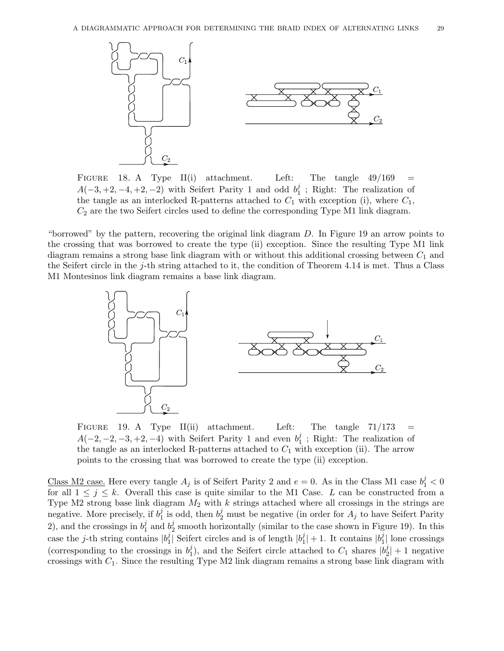

FIGURE 18. A Type II(i) attachment. Left: The tangle  $49/169$  $A(-3, +2, -4, +2, -2)$  with Seifert Parity 1 and odd  $b_1^j$  $\frac{1}{1}$ ; Right: The realization of the tangle as an interlocked R-patterns attached to  $C_1$  with exception (i), where  $C_1$ ,  $C_2$  are the two Seifert circles used to define the corresponding Type M1 link diagram.

"borrowed" by the pattern, recovering the original link diagram D. In Figure 19 an arrow points to the crossing that was borrowed to create the type (ii) exception. Since the resulting Type M1 link diagram remains a strong base link diagram with or without this additional crossing between  $C_1$  and the Seifert circle in the j-th string attached to it, the condition of Theorem 4.14 is met. Thus a Class M1 Montesinos link diagram remains a base link diagram.



FIGURE 19. A Type II(ii) attachment. Left: The tangle  $71/173$  $A(-2, -2, -3, +2, -4)$  with Seifert Parity 1 and even  $b_1^j$  $\frac{1}{1}$ ; Right: The realization of the tangle as an interlocked R-patterns attached to  $C_1$  with exception (ii). The arrow points to the crossing that was borrowed to create the type (ii) exception.

Class M2 case. Here every tangle  $A_j$  is of Seifert Parity 2 and  $e = 0$ . As in the Class M1 case  $b_1^j < 0$ for all  $1 \leq j \leq k$ . Overall this case is quite similar to the M1 Case. L can be constructed from a Type M2 strong base link diagram  $M_2$  with k strings attached where all crossings in the strings are negative. More precisely, if  $b_1^j$  $j_1$  is odd, then  $b_2^j$  must be negative (in order for  $A_j$  to have Seifert Parity 2), and the crossings in  $b_1^j$  $j_1$  and  $b_2^j$  $\frac{3}{2}$  smooth horizontally (similar to the case shown in Figure 19). In this case the *j*-th string contains  $|b_1^j|$  $\frac{j}{1}$  Seifert circles and is of length  $|b_1^j|$  $|j|$  + 1. It contains  $|b_1^j|$  $\frac{1}{1}$  lone crossings (corresponding to the crossings in  $b_1^j$  $j_{1}^{j}$ ), and the Seifert circle attached to  $C_{1}$  shares  $|b_{2}^{j}|$  $2+1$  negative crossings with  $C_1$ . Since the resulting Type M2 link diagram remains a strong base link diagram with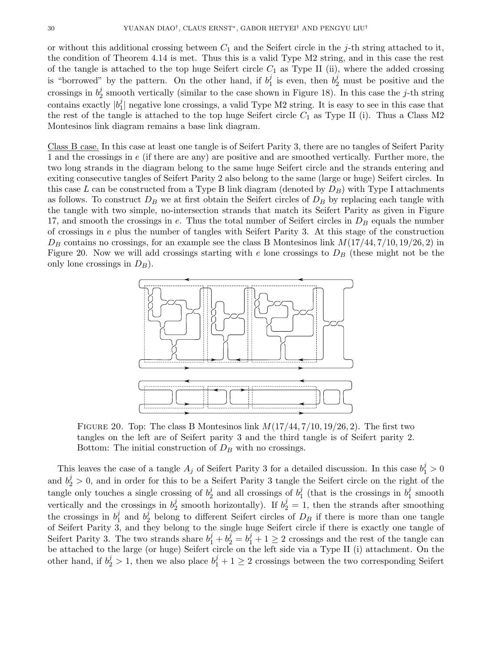or without this additional crossing between  $C_1$  and the Seifert circle in the j-th string attached to it, the condition of Theorem 4.14 is met. Thus this is a valid Type M2 string, and in this case the rest of the tangle is attached to the top huge Seifert circle  $C_1$  as Type II (ii), where the added crossing is "borrowed" by the pattern. On the other hand, if  $b_1^j$  $j_1$  is even, then  $b_2^j$  must be positive and the crossings in  $b_2^j$  $\frac{3}{2}$  smooth vertically (similar to the case shown in Figure 18). In this case the j-th string contains exactly  $|b_1^j|$  $_{1}^{j}$  negative lone crossings, a valid Type M2 string. It is easy to see in this case that the rest of the tangle is attached to the top huge Seifert circle  $C_1$  as Type II (i). Thus a Class M2 Montesinos link diagram remains a base link diagram.

Class B case. In this case at least one tangle is of Seifert Parity 3, there are no tangles of Seifert Parity 1 and the crossings in e (if there are any) are positive and are smoothed vertically. Further more, the two long strands in the diagram belong to the same huge Seifert circle and the strands entering and exiting consecutive tangles of Seifert Parity 2 also belong to the same (large or huge) Seifert circles. In this case L can be constructed from a Type B link diagram (denoted by  $D_B$ ) with Type I attachments as follows. To construct  $D_B$  we at first obtain the Seifert circles of  $D_B$  by replacing each tangle with the tangle with two simple, no-intersection strands that match its Seifert Parity as given in Figure 17, and smooth the crossings in  $e$ . Thus the total number of Seifert circles in  $D<sub>B</sub>$  equals the number of crossings in e plus the number of tangles with Seifert Parity 3. At this stage of the construction  $D_B$  contains no crossings, for an example see the class B Montesinos link  $M(17/44, 7/10, 19/26, 2)$  in Figure 20. Now we will add crossings starting with e lone crossings to  $D_B$  (these might not be the only lone crossings in  $D_B$ ).



FIGURE 20. Top: The class B Montesinos link  $M(17/44, 7/10, 19/26, 2)$ . The first two tangles on the left are of Seifert parity 3 and the third tangle is of Seifert parity 2. Bottom: The initial construction of  $D<sub>B</sub>$  with no crossings.

This leaves the case of a tangle  $A_j$  of Seifert Parity 3 for a detailed discussion. In this case  $b_1^j > 0$ and  $b_2^j > 0$ , and in order for this to be a Seifert Parity 3 tangle the Seifert circle on the right of the tangle only touches a single crossing of  $b_2^j$  $\frac{j}{2}$  and all crossings of  $b_1^j$  $j_1$  (that is the crossings in  $b_1^j$  $j<sub>1</sub>$  smooth vertically and the crossings in  $b_2^j$ <sup>j</sup> smooth horizontally). If  $b_2^j = 1$ , then the strands after smoothing the crossings in  $b_1^j$  $j_1$  and  $b_2^j$ <sup>2</sup> belong to different Seifert circles of  $D_B$  if there is more than one tangle of Seifert Parity 3, and they belong to the single huge Seifert circle if there is exactly one tangle of Seifert Parity 3. The two strands share  $b_1^j + b_2^j = b_1^j + 1 \ge 2$  crossings and the rest of the tangle can be attached to the large (or huge) Seifert circle on the left side via a Type II (i) attachment. On the other hand, if  $b_2^j > 1$ , then we also place  $b_1^j + 1 \ge 2$  crossings between the two corresponding Seifert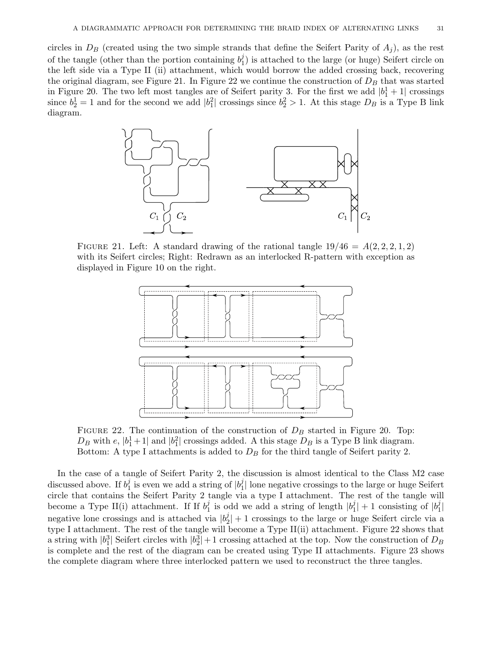circles in  $D_B$  (created using the two simple strands that define the Seifert Parity of  $A_i$ ), as the rest of the tangle (other than the portion containing  $b_1^j$  $\binom{1}{1}$  is attached to the large (or huge) Seifert circle on the left side via a Type II (ii) attachment, which would borrow the added crossing back, recovering the original diagram, see Figure 21. In Figure 22 we continue the construction of  $D<sub>B</sub>$  that was started in Figure 20. The two left most tangles are of Seifert parity 3. For the first we add  $|b_1^1 + 1|$  crossings since  $b_2^1 = 1$  and for the second we add  $|b_1^2|$  crossings since  $b_2^2 > 1$ . At this stage  $D_B$  is a Type B link diagram.



FIGURE 21. Left: A standard drawing of the rational tangle  $19/46 = A(2, 2, 2, 1, 2)$ with its Seifert circles; Right: Redrawn as an interlocked R-pattern with exception as displayed in Figure 10 on the right.



FIGURE 22. The continuation of the construction of  $D_B$  started in Figure 20. Top:  $D_B$  with e,  $|b_1^1 + 1|$  and  $|b_1^2|$  crossings added. A this stage  $D_B$  is a Type B link diagram. Bottom: A type I attachments is added to  $D<sub>B</sub>$  for the third tangle of Seifert parity 2.

In the case of a tangle of Seifert Parity 2, the discussion is almost identical to the Class M2 case discussed above. If  $b_1^j$  $j_1^j$  is even we add a string of  $|b_1^j|$  $\frac{1}{1}$  lone negative crossings to the large or huge Seifert circle that contains the Seifert Parity 2 tangle via a type I attachment. The rest of the tangle will become a Type II(i) attachment. If If  $b_1^j$  $j_1$  is odd we add a string of length  $|b_1^j|$  $|j_1|$  + 1 consisting of  $|b_1^j|$  $\frac{j}{1}$ negative lone crossings and is attached via  $|b_2^j|$  $2|1/2|$  + 1 crossings to the large or huge Seifert circle via a type I attachment. The rest of the tangle will become a Type II(ii) attachment. Figure 22 shows that a string with  $|b_1^3|$  Seifert circles with  $|b_2^3|+1$  crossing attached at the top. Now the construction of  $D_B$ is complete and the rest of the diagram can be created using Type II attachments. Figure 23 shows the complete diagram where three interlocked pattern we used to reconstruct the three tangles.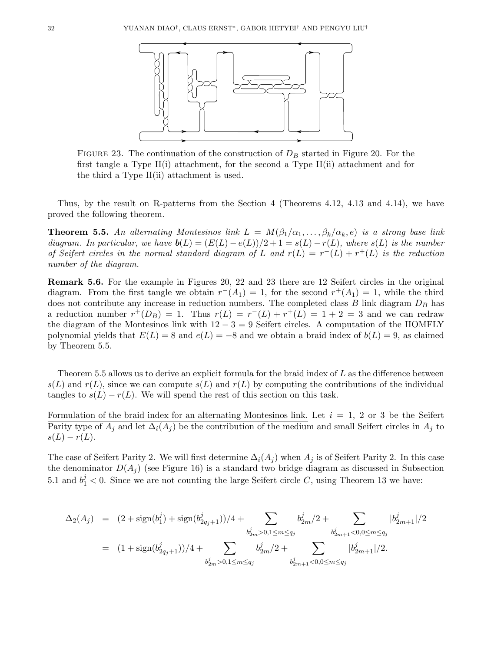

FIGURE 23. The continuation of the construction of  $D<sub>B</sub>$  started in Figure 20. For the first tangle a Type II(i) attachment, for the second a Type II(ii) attachment and for the third a Type II(ii) attachment is used.

Thus, by the result on R-patterns from the Section 4 (Theorems 4.12, 4.13 and 4.14), we have proved the following theorem.

**Theorem 5.5.** An alternating Montesinos link  $L = M(\beta_1/\alpha_1, \ldots, \beta_k/\alpha_k, e)$  is a strong base link diagram. In particular, we have  $\mathbf{b}(L) = (E(L) - e(L))/2 + 1 = s(L) - r(L)$ , where  $s(L)$  is the number of Seifert circles in the normal standard diagram of L and  $r(L) = r^{-}(L) + r^{+}(L)$  is the reduction number of the diagram.

Remark 5.6. For the example in Figures 20, 22 and 23 there are 12 Seifert circles in the original diagram. From the first tangle we obtain  $r^-(A_1) = 1$ , for the second  $r^+(A_1) = 1$ , while the third does not contribute any increase in reduction numbers. The completed class B link diagram  $D_B$  has a reduction number  $r^+(D_B) = 1$ . Thus  $r(L) = r^-(L) + r^+(L) = 1 + 2 = 3$  and we can redraw the diagram of the Montesinos link with  $12 - 3 = 9$  Seifert circles. A computation of the HOMFLY polynomial yields that  $E(L) = 8$  and  $e(L) = -8$  and we obtain a braid index of  $b(L) = 9$ , as claimed by Theorem 5.5.

Theorem 5.5 allows us to derive an explicit formula for the braid index of L as the difference between  $s(L)$  and  $r(L)$ , since we can compute  $s(L)$  and  $r(L)$  by computing the contributions of the individual tangles to  $s(L) - r(L)$ . We will spend the rest of this section on this task.

Formulation of the braid index for an alternating Montesinos link. Let  $i = 1, 2$  or 3 be the Seifert Parity type of  $A_i$  and let  $\Delta_i(A_i)$  be the contribution of the medium and small Seifert circles in  $A_i$  to  $s(L) - r(L).$ 

The case of Seifert Parity 2. We will first determine  $\Delta_i(A_i)$  when  $A_i$  is of Seifert Parity 2. In this case the denominator  $D(A_i)$  (see Figure 16) is a standard two bridge diagram as discussed in Subsection 5.1 and  $b_1^j < 0$ . Since we are not counting the large Seifert circle C, using Theorem 13 we have:

$$
\Delta_2(A_j) = (2 + \text{sign}(b_1^j) + \text{sign}(b_{2q_j+1}^j))/4 + \sum_{\substack{b_{2m}^j > 0, 1 \le m \le q_j \\ b_{2m}^j > 0, 1 \le m \le q_j}} b_{2m}^j/2 + \sum_{\substack{b_{2m+1}^j < 0, 0 \le m \le q_j \\ b_{2m}^j > 0, 1 \le m \le q_j}} |b_{2m+1}^j|/2
$$
\n
$$
= (1 + \text{sign}(b_{2q_j+1}^j))/4 + \sum_{\substack{b_{2m}^j > 0, 1 \le m \le q_j \\ b_{2m}^j > 0, 1 \le m \le q_j}} |b_{2m+1}^j/2 + \sum_{\substack{b_{2m+1}^j < 0, 0 \le m \le q_j \\ b_{2m+1}^j < 0, 0 \le m \le q_j}} |b_{2m+1}^j/2|
$$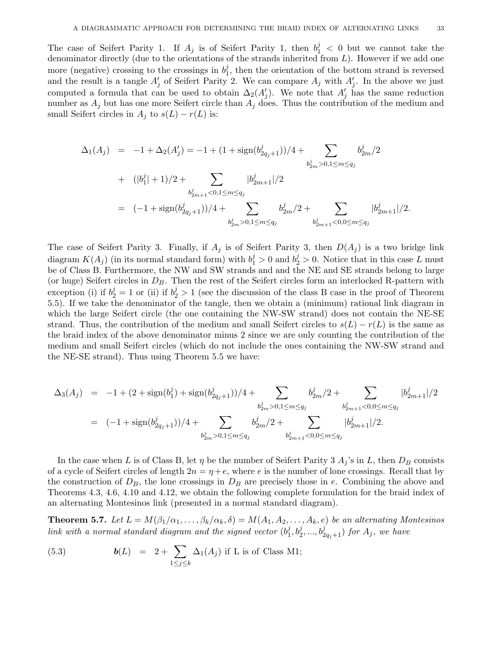The case of Seifert Parity 1. If  $A_j$  is of Seifert Parity 1, then  $b_1^j < 0$  but we cannot take the denominator directly (due to the orientations of the strands inherited from  $L$ ). However if we add one more (negative) crossing to the crossings in  $b_1^j$  $\eta_1^j$ , then the orientation of the bottom strand is reversed and the result is a tangle  $A'_j$  of Seifert Parity 2. We can compare  $A_j$  with  $A'_j$ . In the above we just computed a formula that can be used to obtain  $\Delta_2(A'_j)$ . We note that  $A'_j$  has the same reduction number as  $A_j$  but has one more Seifert circle than  $A_j$  does. Thus the contribution of the medium and small Seifert circles in  $A_j$  to  $s(L) - r(L)$  is:

$$
\Delta_1(A_j) = -1 + \Delta_2(A'_j) = -1 + (1 + \text{sign}(b_{2q_j+1}^j))/4 + \sum_{b_{2m}^j > 0, 1 \le m \le q_j} b_{2m}^j/2
$$
  
+ 
$$
(|b_1^j| + 1)/2 + \sum_{b_{2m+1}^j < 0, 1 \le m \le q_j} |b_{2m+1}^j|/2
$$
  
= 
$$
(-1 + \text{sign}(b_{2q_j+1}^j))/4 + \sum_{b_{2m}^j > 0, 1 \le m \le q_j} b_{2m}^j/2 + \sum_{b_{2m+1}^j < 0, 0 \le m \le q_j} |b_{2m+1}^j|/2.
$$

The case of Seifert Parity 3. Finally, if  $A_j$  is of Seifert Parity 3, then  $D(A_j)$  is a two bridge link diagram  $K(A_j)$  (in its normal standard form) with  $b_1^j > 0$  and  $b_2^j > 0$ . Notice that in this case L must be of Class B. Furthermore, the NW and SW strands and and the NE and SE strands belong to large (or huge) Seifert circles in  $D_B$ . Then the rest of the Seifert circles form an interlocked R-pattern with exception (i) if  $b_2^j = 1$  or (ii) if  $b_2^j > 1$  (see the discussion of the class B case in the proof of Theorem 5.5). If we take the denominator of the tangle, then we obtain a (minimum) rational link diagram in which the large Seifert circle (the one containing the NW-SW strand) does not contain the NE-SE strand. Thus, the contribution of the medium and small Seifert circles to  $s(L) - r(L)$  is the same as the braid index of the above denominator minus 2 since we are only counting the contribution of the medium and small Seifert circles (which do not include the ones containing the NW-SW strand and the NE-SE strand). Thus using Theorem 5.5 we have:

$$
\Delta_3(A_j) = -1 + (2 + \text{sign}(b_1^j) + \text{sign}(b_{2q_j+1}^j))/4 + \sum_{\substack{b_{2m}^j > 0, 1 \le m \le q_j \\ b_{2m}^j > 0, 1 \le m \le q_j}} \frac{b_{2m}^j/2 + \sum_{\substack{b_{2m+1}^j < 0, 0 \le m \le q_j \\ b_{2m+1}^j < 0, 0 \le m \le q_j}} |b_{2m+1}^j|/2
$$
  
= (-1 + \text{sign}(b\_{2q\_j+1}^j))/4 + \sum\_{\substack{b\_{2m}^j > 0, 1 \le m \le q\_j \\ b\_{2m}^j > 0, 1 \le m \le q\_j}} \frac{b\_{2m}^j/2 + \sum\_{\substack{b\_{2m+1}^j < 0, 0 \le m \le q\_j}} |b\_{2m+1}^j|/2.

In the case when L is of Class B, let  $\eta$  be the number of Seifert Parity 3  $A_i$ 's in L, then  $D_B$  consists of a cycle of Seifert circles of length  $2n = \eta + e$ , where e is the number of lone crossings. Recall that by the construction of  $D_B$ , the lone crossings in  $D_B$  are precisely those in e. Combining the above and Theorems 4.3, 4.6, 4.10 and 4.12, we obtain the following complete formulation for the braid index of an alternating Montesinos link (presented in a normal standard diagram).

**Theorem 5.7.** Let  $L = M(\beta_1/\alpha_1,\ldots,\beta_k/\alpha_k,\delta) = M(A_1,A_2,\ldots,A_k,e)$  be an alternating Montesinos link with a normal standard diagram and the signed vector  $(b_1^j)$  $a_1^j, b_2^j, ..., b_{2q_j+1}^j)$  for  $A_j$ , we have

(5.3) 
$$
\boldsymbol{b}(L) = 2 + \sum_{1 \leq j \leq k} \Delta_1(A_j) \text{ if } L \text{ is of Class M1};
$$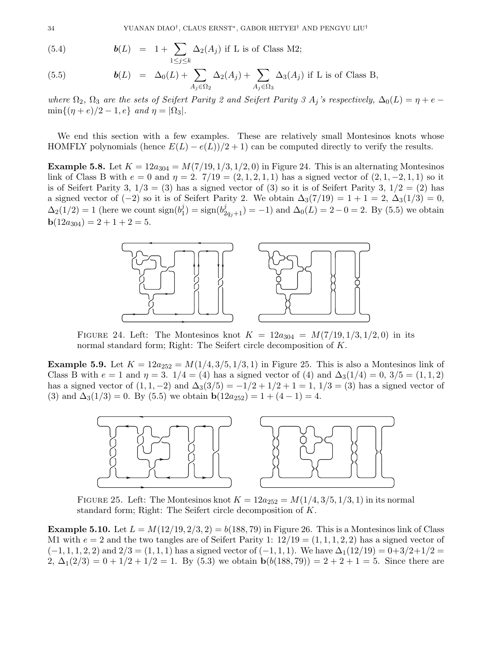(5.4) 
$$
\mathbf{b}(L) = 1 + \sum_{1 \leq j \leq k} \Delta_2(A_j) \text{ if } L \text{ is of Class M2};
$$

(5.5) 
$$
\mathbf{b}(L) = \Delta_0(L) + \sum_{A_j \in \Omega_2} \Delta_2(A_j) + \sum_{A_j \in \Omega_3} \Delta_3(A_j) \text{ if } L \text{ is of Class B,}
$$

where  $\Omega_2$ ,  $\Omega_3$  are the sets of Seifert Parity 2 and Seifert Parity 3  $A_j$ 's respectively,  $\Delta_0(L) = \eta + e \min\{(\eta + e)/2 - 1, e\}$  and  $\eta = |\Omega_3|$ .

We end this section with a few examples. These are relatively small Montesinos knots whose HOMFLY polynomials (hence  $E(L) - e(L)/2 + 1$ ) can be computed directly to verify the results.

**Example 5.8.** Let  $K = 12a_{304} = M(7/19, 1/3, 1/2, 0)$  in Figure 24. This is an alternating Montesinos link of Class B with  $e = 0$  and  $\eta = 2$ .  $7/19 = (2, 1, 2, 1, 1)$  has a signed vector of  $(2, 1, -2, 1, 1)$  so it is of Seifert Parity 3,  $1/3 = (3)$  has a signed vector of (3) so it is of Seifert Parity 3,  $1/2 = (2)$  has a signed vector of (−2) so it is of Seifert Parity 2. We obtain  $\Delta_3(7/19) = 1 + 1 = 2$ ,  $\Delta_3(1/3) = 0$ ,  $\Delta_2(1/2) = 1$  (here we count sign( $b_1^j$ )  $\mathcal{L}_1^j$ ) = sign( $b_{2q_j+1}^j$ ) = -1) and  $\Delta_0(L) = 2 - 0 = 2$ . By (5.5) we obtain  $b(12a_{304}) = 2 + 1 + 2 = 5.$ 



FIGURE 24. Left: The Montesinos knot  $K = 12a_{304} = M(7/19, 1/3, 1/2, 0)$  in its normal standard form; Right: The Seifert circle decomposition of K.

**Example 5.9.** Let  $K = 12a_{252} = M(1/4, 3/5, 1/3, 1)$  in Figure 25. This is also a Montesinos link of Class B with  $e = 1$  and  $\eta = 3$ .  $1/4 = (4)$  has a signed vector of (4) and  $\Delta_3(1/4) = 0$ ,  $3/5 = (1, 1, 2)$ has a signed vector of  $(1, 1, -2)$  and  $\Delta_3(3/5) = -1/2 + 1/2 + 1 = 1$ ,  $1/3 = (3)$  has a signed vector of (3) and  $\Delta_3(1/3) = 0$ . By (5.5) we obtain  $\mathbf{b}(12a_{252}) = 1 + (4 - 1) = 4$ .



FIGURE 25. Left: The Montesinos knot  $K = 12a_{252} = M(1/4, 3/5, 1/3, 1)$  in its normal standard form; Right: The Seifert circle decomposition of K.

**Example 5.10.** Let  $L = M(12/19, 2/3, 2) = b(188, 79)$  in Figure 26. This is a Montesinos link of Class M1 with  $e = 2$  and the two tangles are of Seifert Parity 1:  $12/19 = (1, 1, 1, 2, 2)$  has a signed vector of  $(-1, 1, 1, 2, 2)$  and  $2/3 = (1, 1, 1)$  has a signed vector of  $(-1, 1, 1)$ . We have  $\Delta_1(12/19) = 0+3/2+1/2 =$  $2, \Delta_1(2/3) = 0 + 1/2 + 1/2 = 1$ . By (5.3) we obtain  $b(b(188, 79)) = 2 + 2 + 1 = 5$ . Since there are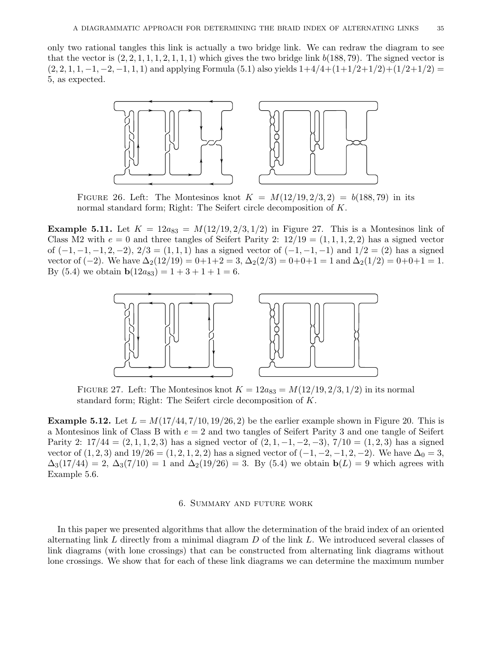only two rational tangles this link is actually a two bridge link. We can redraw the diagram to see that the vector is  $(2, 2, 1, 1, 1, 2, 1, 1, 1)$  which gives the two bridge link  $b(188, 79)$ . The signed vector is  $(2, 2, 1, 1, -1, -2, -1, 1, 1)$  and applying Formula  $(5.1)$  also yields  $1+4/4+(1+1/2+1/2)+(1/2+1/2) =$ 5, as expected.



FIGURE 26. Left: The Montesinos knot  $K = M(12/19, 2/3, 2) = b(188, 79)$  in its normal standard form; Right: The Seifert circle decomposition of K.

**Example 5.11.** Let  $K = 12a_{83} = M(12/19, 2/3, 1/2)$  in Figure 27. This is a Montesinos link of Class M2 with  $e = 0$  and three tangles of Seifert Parity 2:  $12/19 = (1, 1, 1, 2, 2)$  has a signed vector of  $(-1, -1, -1, 2, -2)$ ,  $2/3 = (1, 1, 1)$  has a signed vector of  $(-1, -1, -1)$  and  $1/2 = (2)$  has a signed vector of  $(-2)$ . We have  $\Delta_2(12/19) = 0+1+2=3, \Delta_2(2/3) = 0+0+1=1$  and  $\Delta_2(1/2) = 0+0+1=1$ . By (5.4) we obtain  $\mathbf{b}(12a_{83}) = 1 + 3 + 1 + 1 = 6$ .



FIGURE 27. Left: The Montesinos knot  $K = 12a_{83} = M(12/19, 2/3, 1/2)$  in its normal standard form; Right: The Seifert circle decomposition of K.

**Example 5.12.** Let  $L = M(17/44, 7/10, 19/26, 2)$  be the earlier example shown in Figure 20. This is a Montesinos link of Class B with  $e = 2$  and two tangles of Seifert Parity 3 and one tangle of Seifert Parity 2:  $17/44 = (2, 1, 1, 2, 3)$  has a signed vector of  $(2, 1, -1, -2, -3)$ ,  $7/10 = (1, 2, 3)$  has a signed vector of  $(1, 2, 3)$  and  $19/26 = (1, 2, 1, 2, 2)$  has a signed vector of  $(-1, -2, -1, 2, -2)$ . We have  $\Delta_0 = 3$ ,  $\Delta_3(17/44) = 2, \Delta_3(7/10) = 1$  and  $\Delta_2(19/26) = 3$ . By (5.4) we obtain  $b(L) = 9$  which agrees with Example 5.6.

#### 6. Summary and future work

In this paper we presented algorithms that allow the determination of the braid index of an oriented alternating link L directly from a minimal diagram  $D$  of the link L. We introduced several classes of link diagrams (with lone crossings) that can be constructed from alternating link diagrams without lone crossings. We show that for each of these link diagrams we can determine the maximum number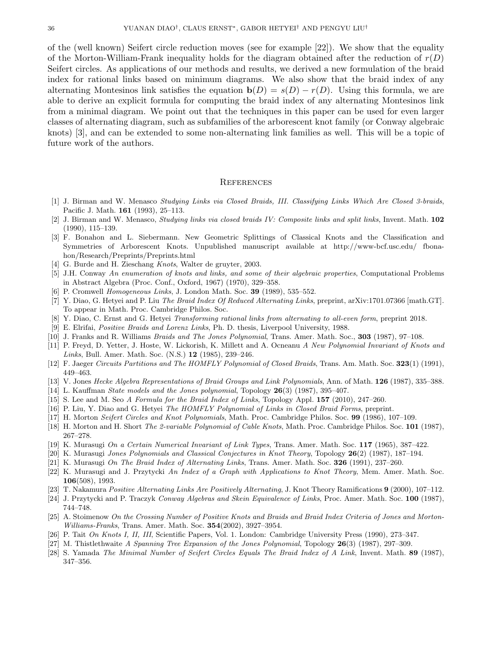of the (well known) Seifert circle reduction moves (see for example [22]). We show that the equality of the Morton-William-Frank inequality holds for the diagram obtained after the reduction of  $r(D)$ Seifert circles. As applications of our methods and results, we derived a new formulation of the braid index for rational links based on minimum diagrams. We also show that the braid index of any alternating Montesinos link satisfies the equation  $\mathbf{b}(D) = s(D) - r(D)$ . Using this formula, we are able to derive an explicit formula for computing the braid index of any alternating Montesinos link from a minimal diagram. We point out that the techniques in this paper can be used for even larger classes of alternating diagram, such as subfamilies of the arborescent knot family (or Conway algebraic knots) [3], and can be extended to some non-alternating link families as well. This will be a topic of future work of the authors.

## **REFERENCES**

- [1] J. Birman and W. Menasco Studying Links via Closed Braids, III. Classifying Links Which Are Closed 3-braids, Pacific J. Math. 161 (1993), 25–113.
- [2] J. Birman and W. Menasco, Studying links via closed braids IV: Composite links and split links, Invent. Math. 102 (1990), 115–139.
- [3] F. Bonahon and L. Siebermann. New Geometric Splittings of Classical Knots and the Classification and Symmetries of Arborescent Knots. Unpublished manuscript available at http://www-bcf.usc.edu/ fbonahon/Research/Preprints/Preprints.html
- [4] G. Burde and H. Zieschang *Knots*, Walter de gruyter, 2003.
- [5] J.H. Conway An enumeration of knots and links, and some of their algebraic properties, Computational Problems in Abstract Algebra (Proc. Conf., Oxford, 1967) (1970), 329–358.
- [6] P. Cromwell *Homogeneous Links*, J. London Math. Soc. **39** (1989), 535–552.
- [7] Y. Diao, G. Hetyei and P. Liu The Braid Index Of Reduced Alternating Links, preprint, arXiv:1701.07366 [math.GT]. To appear in Math. Proc. Cambridge Philos. Soc.
- [8] Y. Diao, C. Ernst and G. Hetyei Transforming rational links from alternating to all-even form, preprint 2018.
- [9] E. Elrifai, Positive Braids and Lorenz Links, Ph. D. thesis, Liverpool University, 1988.
- [10] J. Franks and R. Williams Braids and The Jones Polynomial, Trans. Amer. Math. Soc., 303 (1987), 97–108.
- [11] P. Freyd, D. Yetter, J. Hoste, W. Lickorish, K. Millett and A. Ocneanu A New Polynomial Invariant of Knots and Links, Bull. Amer. Math. Soc. (N.S.) 12 (1985), 239-246.
- [12] F. Jaeger Circuits Partitions and The HOMFLY Polynomial of Closed Braids, Trans. Am. Math. Soc. 323(1) (1991), 449–463.
- [13] V. Jones Hecke Algebra Representations of Braid Groups and Link Polynomials, Ann. of Math. 126 (1987), 335–388.
- [14] L. Kauffman *State models and the Jones polynomial*, Topology  $26(3)$  (1987), 395–407.
- [15] S. Lee and M. Seo A Formula for the Braid Index of Links, Topology Appl. 157 (2010), 247–260.
- [16] P. Liu, Y. Diao and G. Hetyei The HOMFLY Polynomial of Links in Closed Braid Forms, preprint.
- [17] H. Morton Seifert Circles and Knot Polynomials, Math. Proc. Cambridge Philos. Soc. 99 (1986), 107–109.
- [18] H. Morton and H. Short The 2-variable Polynomial of Cable Knots, Math. Proc. Cambridge Philos. Soc. 101 (1987), 267–278.
- [19] K. Murasugi On a Certain Numerical Invariant of Link Types, Trans. Amer. Math. Soc. 117 (1965), 387–422.
- [20] K. Murasugi Jones Polynomials and Classical Conjectures in Knot Theory, Topology 26(2) (1987), 187–194.
- [21] K. Murasugi On The Braid Index of Alternating Links, Trans. Amer. Math. Soc. 326 (1991), 237–260.
- [22] K. Murasugi and J. Przytycki An Index of a Graph with Applications to Knot Theory, Mem. Amer. Math. Soc. 106(508), 1993.
- [23] T. Nakamura Positive Alternating Links Are Positively Alternating, J. Knot Theory Ramifications 9 (2000), 107–112.
- [24] J. Przytycki and P. Traczyk Conway Algebras and Skein Equivalence of Links, Proc. Amer. Math. Soc. 100 (1987), 744–748.
- [25] A. Stoimenow On the Crossing Number of Positive Knots and Braids and Braid Index Criteria of Jones and Morton-Williams-Franks, Trans. Amer. Math. Soc. 354(2002), 3927–3954.
- [26] P. Tait On Knots I, II, III, Scientific Papers, Vol. 1. London: Cambridge University Press (1990), 273-347.
- [27] M. Thistlethwaite A Spanning Tree Expansion of the Jones Polynomial, Topology 26(3) (1987), 297–309.
- [28] S. Yamada The Minimal Number of Seifert Circles Equals The Braid Index of A Link, Invent. Math. 89 (1987), 347–356.